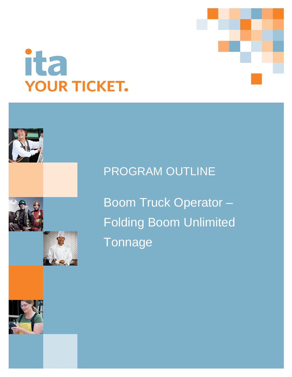

# **ita YOUR TICKET.**



Boom Truck Operator – Folding Boom Unlimited **Tonnage** 

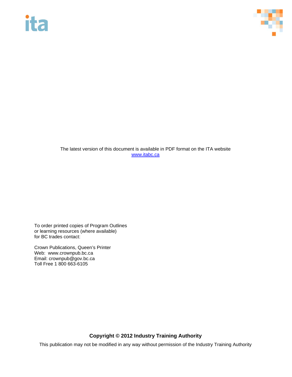# ita



The latest version of this document is available in PDF format on the ITA website [www.itabc.ca](http://www.itabc.ca/)

To order printed copies of Program Outlines or learning resources (where available) for BC trades contact:

Crown Publications, Queen's Printer Web: www.crownpub.bc.ca Email: crownpub@gov.bc.ca Toll Free 1 800 663-6105

### **Copyright © 2012 Industry Training Authority**

This publication may not be modified in any way without permission of the Industry Training Authority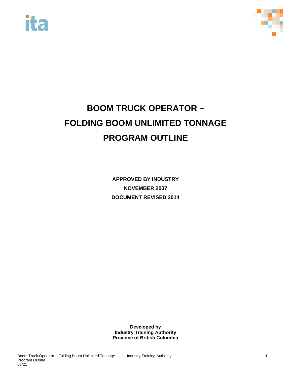



## **BOOM TRUCK OPERATOR – FOLDING BOOM UNLIMITED TONNAGE PROGRAM OUTLINE**

**APPROVED BY INDUSTRY NOVEMBER 2007 DOCUMENT REVISED 2014**

**Developed by Industry Training Authority Province of British Columbia**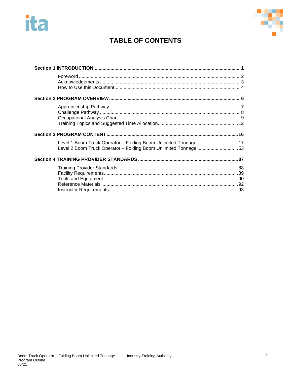# ita



## **TABLE OF CONTENTS**

| Level 1 Boom Truck Operator - Folding Boom Unlimited Tonnage 17<br>Level 2 Boom Truck Operator - Folding Boom Unlimited Tonnage 53 |  |
|------------------------------------------------------------------------------------------------------------------------------------|--|
|                                                                                                                                    |  |
|                                                                                                                                    |  |
|                                                                                                                                    |  |
|                                                                                                                                    |  |
|                                                                                                                                    |  |
|                                                                                                                                    |  |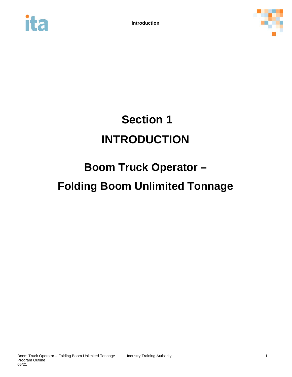



# <span id="page-4-0"></span>**Section 1 INTRODUCTION**

# **Boom Truck Operator – Folding Boom Unlimited Tonnage**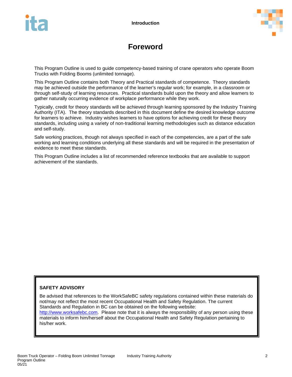

## **Foreword**

<span id="page-5-0"></span>This Program Outline is used to guide competency-based training of crane operators who operate Boom Trucks with Folding Booms (unlimited tonnage).

This Program Outline contains both Theory and Practical standards of competence. Theory standards may be achieved outside the performance of the learner's regular work; for example, in a classroom or through self-study of learning resources. Practical standards build upon the theory and allow learners to gather naturally occurring evidence of workplace performance while they work.

Typically, credit for theory standards will be achieved through learning sponsored by the Industry Training Authority (ITA). The theory standards described in this document define the desired knowledge outcome for learners to achieve. Industry wishes learners to have options for achieving credit for these theory standards, including using a variety of non-traditional learning methodologies such as distance education and self-study.

Safe working practices, though not always specified in each of the competencies, are a part of the safe working and learning conditions underlying all these standards and will be required in the presentation of evidence to meet these standards.

This Program Outline includes a list of recommended reference textbooks that are available to support achievement of the standards.

#### **SAFETY ADVISORY**

Be advised that references to the WorkSafeBC safety regulations contained within these materials do not/may not reflect the most recent Occupational Health and Safety Regulation. The current Standards and Regulation in BC can be obtained on the following website:

[http://www.worksafebc.com.](http://www.worksafebc.com/) Please note that it is always the responsibility of any person using these materials to inform him/herself about the Occupational Health and Safety Regulation pertaining to his/her work.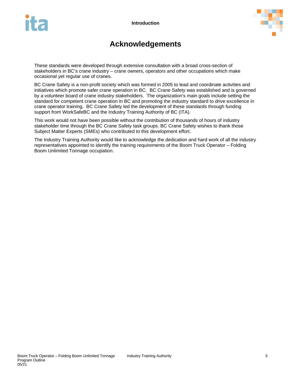



## **Acknowledgements**

<span id="page-6-0"></span>These standards were developed through extensive consultation with a broad cross-section of stakeholders in BC's crane industry – crane owners, operators and other occupations which make occasional yet regular use of cranes.

BC Crane Safety is a non-profit society which was formed in 2005 to lead and coordinate activities and initiatives which promote safer crane operation in BC. BC Crane Safety was established and is governed by a volunteer board of crane industry stakeholders. The organization's main goals include setting the standard for competent crane operation in BC and promoting the industry standard to drive excellence in crane operator training. BC Crane Safety led the development of these standards through funding support from WorkSafeBC and the Industry Training Authority of BC (ITA).

This work would not have been possible without the contribution of thousands of hours of industry stakeholder time through the BC Crane Safety task groups. BC Crane Safety wishes to thank those Subject Matter Experts (SMEs) who contributed to this development effort.

The Industry Training Authority would like to acknowledge the dedication and hard work of all the industry representatives appointed to identify the training requirements of the Boom Truck Operator – Folding Boom Unlimited Tonnage occupation.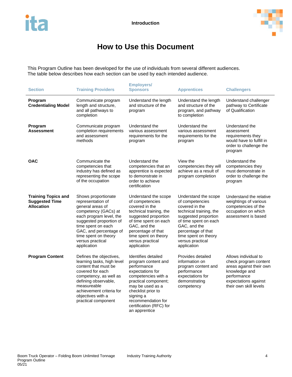

## **How to Use this Document**

<span id="page-7-0"></span>This Program Outline has been developed for the use of individuals from several different audiences. The table below describes how each section can be used by each intended audience.

| <b>Section</b>                                                           | <b>Training Providers</b>                                                                                                                                                                                                                             | <b>Employers/</b><br><b>Sponsors</b>                                                                                                                                                                                                                  | <b>Apprentices</b>                                                                                                                                                                                                                     | <b>Challengers</b>                                                                                                                                         |
|--------------------------------------------------------------------------|-------------------------------------------------------------------------------------------------------------------------------------------------------------------------------------------------------------------------------------------------------|-------------------------------------------------------------------------------------------------------------------------------------------------------------------------------------------------------------------------------------------------------|----------------------------------------------------------------------------------------------------------------------------------------------------------------------------------------------------------------------------------------|------------------------------------------------------------------------------------------------------------------------------------------------------------|
| Program<br><b>Credentialing Model</b>                                    | Communicate program<br>length and structure,<br>and all pathways to<br>completion                                                                                                                                                                     | Understand the length<br>and structure of the<br>program                                                                                                                                                                                              | Understand the length<br>and structure of the<br>program, and pathway<br>to completion                                                                                                                                                 | Understand challenger<br>pathway to Certificate<br>of Qualification                                                                                        |
| Program<br><b>Assessment</b>                                             | Communicate program<br>completion requirements<br>and assessment<br>methods                                                                                                                                                                           | Understand the<br>various assessment<br>requirements for the<br>program                                                                                                                                                                               | Understand the<br>various assessment<br>requirements for the<br>program                                                                                                                                                                | Understand the<br>assessment<br>requirements they<br>would have to fulfill in<br>order to challenge the<br>program                                         |
| <b>OAC</b>                                                               | Communicate the<br>competencies that<br>industry has defined as<br>representing the scope<br>of the occupation                                                                                                                                        | Understand the<br>competencies that an<br>apprentice is expected<br>to demonstrate in<br>order to achieve<br>certification                                                                                                                            | View the<br>competencies they will<br>achieve as a result of<br>program completion                                                                                                                                                     | Understand the<br>competencies they<br>must demonstrate in<br>order to challenge the<br>program                                                            |
| <b>Training Topics and</b><br><b>Suggested Time</b><br><b>Allocation</b> | Shows proportionate<br>representation of<br>general areas of<br>competency (GACs) at<br>each program level, the<br>suggested proportion of<br>time spent on each<br>GAC, and percentage of<br>time spent on theory<br>versus practical<br>application | Understand the scope<br>of competencies<br>covered in the<br>technical training, the<br>suggested proportion<br>of time spent on each<br>GAC, and the<br>percentage of that<br>time spent on theory<br>versus practical<br>application                | Understand the scope<br>of competencies<br>covered in the<br>technical training, the<br>suggested proportion<br>of time spent on each<br>GAC, and the<br>percentage of that<br>time spent on theory<br>versus practical<br>application | Understand the relative<br>weightings of various<br>competencies of the<br>occupation on which<br>assessment is based                                      |
| <b>Program Content</b>                                                   | Defines the objectives,<br>learning tasks, high level<br>content that must be<br>covered for each<br>competency, as well as<br>defining observable,<br>measureable<br>achievement criteria for<br>objectives with a<br>practical component            | Identifies detailed<br>program content and<br>performance<br>expectations for<br>competencies with a<br>practical component;<br>may be used as a<br>checklist prior to<br>signing a<br>recommendation for<br>certification (RFC) for<br>an apprentice | Provides detailed<br>information on<br>program content and<br>performance<br>expectations for<br>demonstrating<br>competency                                                                                                           | Allows individual to<br>check program content<br>areas against their own<br>knowledge and<br>performance<br>expectations against<br>their own skill levels |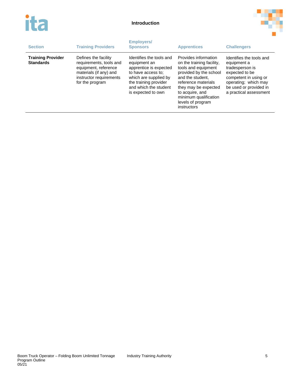



| <b>Section</b>                               | <b>Training Providers</b>                                                                                                                       | <b>Employers/</b><br><b>Sponsors</b><br><b>Apprentices</b>                                                                                                                                |                                                                                                                                                                                                                                                       | <b>Challengers</b>                                                                                                                                                                |
|----------------------------------------------|-------------------------------------------------------------------------------------------------------------------------------------------------|-------------------------------------------------------------------------------------------------------------------------------------------------------------------------------------------|-------------------------------------------------------------------------------------------------------------------------------------------------------------------------------------------------------------------------------------------------------|-----------------------------------------------------------------------------------------------------------------------------------------------------------------------------------|
| <b>Training Provider</b><br><b>Standards</b> | Defines the facility<br>requirements, tools and<br>equipment, reference<br>materials (if any) and<br>instructor requirements<br>for the program | Identifies the tools and<br>equipment an<br>apprentice is expected<br>to have access to:<br>which are supplied by<br>the training provider<br>and which the student<br>is expected to own | Provides information<br>on the training facility,<br>tools and equipment<br>provided by the school<br>and the student.<br>reference materials<br>they may be expected<br>to acquire, and<br>minimum qualification<br>levels of program<br>instructors | Identifies the tools and<br>equipment a<br>tradesperson is<br>expected to be<br>competent in using or<br>operating; which may<br>be used or provided in<br>a practical assessment |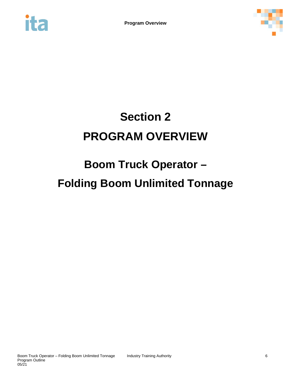<span id="page-9-0"></span>



# **Section 2 PROGRAM OVERVIEW**

## **Boom Truck Operator – Folding Boom Unlimited Tonnage**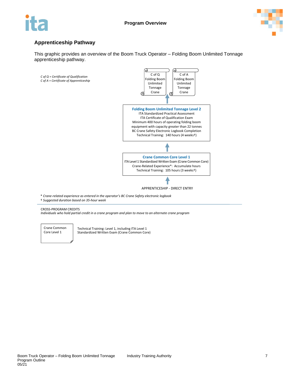



#### <span id="page-10-0"></span>**Apprenticeship Pathway**

This graphic provides an overview of the Boom Truck Operator – Folding Boom Unlimited Tonnage apprenticeship pathway.



*Individuals who hold partial credit in a crane program and plan to move to an alternate crane program*

Crane Common Core Level 1

Technical Training: Level 1, including ITA Level 1 Standardized Written Exam (Crane Common Core)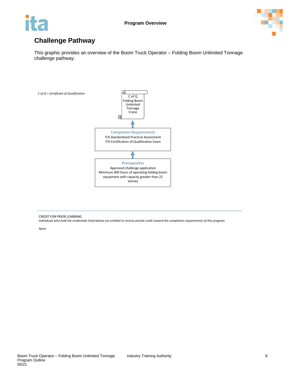



## <span id="page-11-0"></span>**Challenge Pathway**

This graphic provides an overview of the Boom Truck Operator – Folding Boom Unlimited Tonnage challenge pathway.



CREDIT FOR PRIOR LEARNING *Individuals who hold the credentials listed below are entitled to receive partial credit toward the completion requirements of this program*

*None*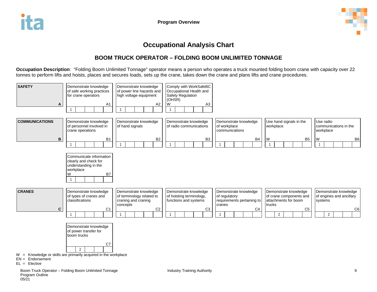

### **Occupational Analysis Chart**

### **BOOM TRUCK OPERATOR – FOLDING BOOM UNLIMITED TONNAGE**

**Occupation Description**: "Folding Boom Unlimited Tonnage" operator means a person who operates a truck mounted folding boom crane with capacity over 22 tonnes to perform lifts and hoists, places and secures loads, sets up the crane, takes down the crane and plans lifts and crane procedures.

<span id="page-12-0"></span>

 $0.5/21$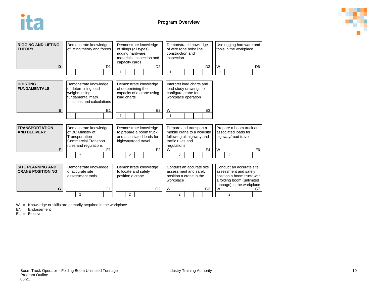



| <b>RIGGING AND LIFTING</b><br><b>THEORY</b><br>D     |                                                                                                                 | Demonstrate knowledge<br>of lifting theory and forces                                                                 |  | D <sub>1</sub>                                                                          |                                                                                                     | Demonstrate knowledge<br>of slings (all types),<br>rigging hardware,<br>materials, inspection and<br>capacity cards |                                                                                                   | D <sub>2</sub> |                                                                                                                        | inspection     | Demonstrate knowledge<br>of wire rope hoist line<br>construction and         |  | D <sub>3</sub> | W                                                                       | Use rigging hardware and<br>tools in the workplace                                                                                        |  | D <sub>6</sub> |
|------------------------------------------------------|-----------------------------------------------------------------------------------------------------------------|-----------------------------------------------------------------------------------------------------------------------|--|-----------------------------------------------------------------------------------------|-----------------------------------------------------------------------------------------------------|---------------------------------------------------------------------------------------------------------------------|---------------------------------------------------------------------------------------------------|----------------|------------------------------------------------------------------------------------------------------------------------|----------------|------------------------------------------------------------------------------|--|----------------|-------------------------------------------------------------------------|-------------------------------------------------------------------------------------------------------------------------------------------|--|----------------|
| <b>HOISTING</b><br><b>FUNDAMENTALS</b>               | Demonstrate knowledge<br>of determining load<br>weights using<br>fundamental math<br>functions and calculations |                                                                                                                       |  | Demonstrate knowledge<br>of determining the<br>capacity of a crane using<br>load charts |                                                                                                     |                                                                                                                     | Interpret load charts and<br>load study drawings to<br>configure crane for<br>workplace operation |                |                                                                                                                        |                |                                                                              |  |                |                                                                         |                                                                                                                                           |  |                |
| E.                                                   | 1                                                                                                               |                                                                                                                       |  | E1                                                                                      | 1                                                                                                   |                                                                                                                     |                                                                                                   | E <sub>2</sub> | W                                                                                                                      |                |                                                                              |  | E <sub>3</sub> |                                                                         |                                                                                                                                           |  |                |
| <b>TRANSPORTATION</b><br><b>AND DELIVERY</b>         |                                                                                                                 | Demonstrate knowledge<br>of BC Ministry of<br>Transportation-<br><b>Commercial Transport</b><br>rules and regulations |  |                                                                                         | Demonstrate knowledge<br>to prepare a boom truck<br>and associated loads for<br>highway/road travel |                                                                                                                     |                                                                                                   |                | Prepare and transport a<br>mobile crane to a worksite<br>following all highway and<br>traffic rules and<br>regulations |                |                                                                              |  |                | Prepare a boom truck and<br>associated loads for<br>highway/road travel |                                                                                                                                           |  |                |
| F.                                                   |                                                                                                                 | $\overline{2}$                                                                                                        |  | F <sub>1</sub>                                                                          |                                                                                                     | $\overline{2}$                                                                                                      |                                                                                                   | F <sub>2</sub> | W                                                                                                                      | $\overline{2}$ |                                                                              |  | F4             | W                                                                       | $\overline{2}$                                                                                                                            |  | F <sub>6</sub> |
|                                                      |                                                                                                                 |                                                                                                                       |  |                                                                                         |                                                                                                     |                                                                                                                     |                                                                                                   |                |                                                                                                                        |                |                                                                              |  |                |                                                                         |                                                                                                                                           |  |                |
| <b>SITE PLANNING AND</b><br><b>CRANE POSITIONING</b> |                                                                                                                 | Demonstrate knowledge<br>of accurate site<br>assessment tools                                                         |  |                                                                                         |                                                                                                     | Demonstrate knowledge<br>to locate and safely<br>position a crane                                                   |                                                                                                   |                |                                                                                                                        | workplace      | Conduct an accurate site<br>assessment and safely<br>position a crane in the |  |                |                                                                         | Conduct an accurate site<br>assessment and safely<br>position a boom truck with<br>a folding boom (unlimited<br>tonnage) in the workplace |  |                |
| G                                                    |                                                                                                                 |                                                                                                                       |  | G <sub>1</sub>                                                                          |                                                                                                     |                                                                                                                     |                                                                                                   | G <sub>2</sub> | W                                                                                                                      |                |                                                                              |  | G3             | W                                                                       |                                                                                                                                           |  | G7             |
|                                                      |                                                                                                                 | $\overline{2}$                                                                                                        |  |                                                                                         |                                                                                                     | $\overline{2}$                                                                                                      |                                                                                                   |                |                                                                                                                        | $\overline{2}$ |                                                                              |  |                |                                                                         | $\overline{2}$                                                                                                                            |  |                |

W = Knowledge or skills are primarily acquired in the workplace

EN = Endorsement

EL = Elective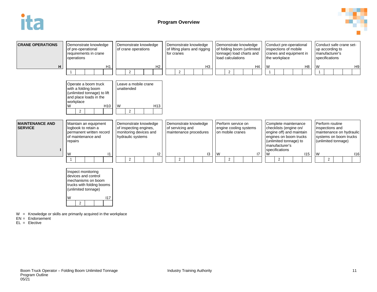





 $W =$  Knowledge or skills are primarily acquired in the workplace

 $EN =$  Endorsement

 $Fl = Flective$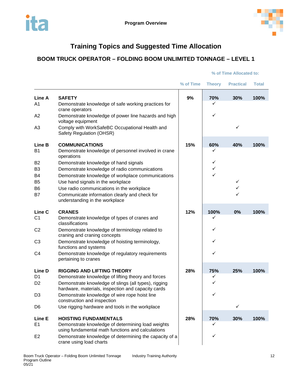

## **Training Topics and Suggested Time Allocation**

### <span id="page-15-0"></span>**BOOM TRUCK OPERATOR – FOLDING BOOM UNLIMITED TONNAGE – LEVEL 1**

|                |                                                                                                            | % of Time | <b>Theory</b> | <b>Practical</b> | <b>Total</b> |
|----------------|------------------------------------------------------------------------------------------------------------|-----------|---------------|------------------|--------------|
| Line A         | <b>SAFETY</b>                                                                                              | 9%        | 70%           | 30%              | 100%         |
| A <sub>1</sub> | Demonstrate knowledge of safe working practices for<br>crane operators                                     |           | ✓             |                  |              |
| A <sub>2</sub> | Demonstrate knowledge of power line hazards and high<br>voltage equipment                                  |           | ✓             |                  |              |
| A <sub>3</sub> | Comply with WorkSafeBC Occupational Health and<br>Safety Regulation (OHSR)                                 |           |               | $\checkmark$     |              |
| Line B         | <b>COMMUNICATIONS</b>                                                                                      | 15%       | 60%           | 40%              | 100%         |
| B <sub>1</sub> | Demonstrate knowledge of personnel involved in crane<br>operations                                         |           | ✓             |                  |              |
| B <sub>2</sub> | Demonstrate knowledge of hand signals                                                                      |           | ✓             |                  |              |
| B <sub>3</sub> | Demonstrate knowledge of radio communications                                                              |           | ✓             |                  |              |
| B <sub>4</sub> | Demonstrate knowledge of workplace communications                                                          |           | ✓             |                  |              |
| B5             | Use hand signals in the workplace                                                                          |           |               | $\checkmark$     |              |
| B <sub>6</sub> | Use radio communications in the workplace                                                                  |           |               | ✓                |              |
| B7             | Communicate information clearly and check for<br>understanding in the workplace                            |           |               |                  |              |
| Line C         | <b>CRANES</b>                                                                                              | 12%       | 100%          | 0%               | 100%         |
| C <sub>1</sub> | Demonstrate knowledge of types of cranes and<br>classifications                                            |           | ✓             |                  |              |
| C <sub>2</sub> | Demonstrate knowledge of terminology related to<br>craning and craning concepts                            |           | ✓             |                  |              |
| C <sub>3</sub> | Demonstrate knowledge of hoisting terminology,<br>functions and systems                                    |           | ✓             |                  |              |
| C <sub>4</sub> | Demonstrate knowledge of regulatory requirements<br>pertaining to cranes                                   |           | ✓             |                  |              |
| Line D         | <b>RIGGING AND LIFTING THEORY</b>                                                                          | 28%       | 75%           | 25%              | 100%         |
| D <sub>1</sub> | Demonstrate knowledge of lifting theory and forces                                                         |           | ✓             |                  |              |
| D <sub>2</sub> | Demonstrate knowledge of slings (all types), rigging<br>hardware, materials, inspection and capacity cards |           | ✓             |                  |              |
| D <sub>3</sub> | Demonstrate knowledge of wire rope hoist line<br>construction and inspection                               |           | ✓             |                  |              |
| D <sub>6</sub> | Use rigging hardware and tools in the workplace                                                            |           |               | ✓                |              |
| Line E         | <b>HOISTING FUNDAMENTALS</b>                                                                               | 28%       | 70%           | 30%              | 100%         |
| E <sub>1</sub> | Demonstrate knowledge of determining load weights<br>using fundamental math functions and calculations     |           | ✓             |                  |              |
| E <sub>2</sub> | Demonstrate knowledge of determining the capacity of a<br>crane using load charts                          |           | ✓             |                  |              |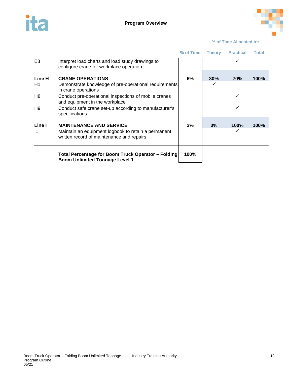



|                        |                                                                                                                                    | % of Time | <b>Theory</b> | <b>Practical</b> | Total       |
|------------------------|------------------------------------------------------------------------------------------------------------------------------------|-----------|---------------|------------------|-------------|
| E <sub>3</sub>         | Interpret load charts and load study drawings to<br>configure crane for workplace operation                                        |           |               |                  |             |
| Line H<br>H1           | <b>CRANE OPERATIONS</b><br>Demonstrate knowledge of pre-operational requirements                                                   | 6%        | 30%<br>✓      | 70%              | 100%        |
|                        | in crane operations                                                                                                                |           |               |                  |             |
| H8                     | Conduct pre-operational inspections of mobile cranes<br>and equipment in the workplace                                             |           |               | ✓                |             |
| H9                     | Conduct safe crane set-up according to manufacturer's<br>specifications                                                            |           |               | ✓                |             |
| Line I<br>$\mathsf{I}$ | <b>MAINTENANCE AND SERVICE</b><br>Maintain an equipment logbook to retain a permanent<br>written record of maintenance and repairs | 2%        | $0\%$         | <b>100%</b>      | <b>100%</b> |
|                        | Total Percentage for Boom Truck Operator – Folding                                                                                 | 100%      |               |                  |             |
|                        | <b>Boom Unlimited Tonnage Level 1</b>                                                                                              |           |               |                  |             |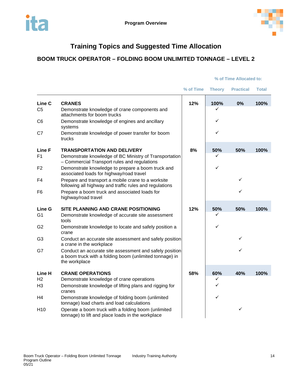

## **Training Topics and Suggested Time Allocation**

### **BOOM TRUCK OPERATOR – FOLDING BOOM UNLIMITED TONNAGE – LEVEL 2**

|                 |                                                                                                                                     | % of Time | <b>Theory</b> | <b>Practical</b> | <b>Total</b> |
|-----------------|-------------------------------------------------------------------------------------------------------------------------------------|-----------|---------------|------------------|--------------|
| Line C          | <b>CRANES</b>                                                                                                                       | 12%       | 100%          | 0%               | 100%         |
| C <sub>5</sub>  | Demonstrate knowledge of crane components and<br>attachments for boom trucks                                                        |           | ✓             |                  |              |
| C <sub>6</sub>  | Demonstrate knowledge of engines and ancillary<br>systems                                                                           |           | ✓             |                  |              |
| C7              | Demonstrate knowledge of power transfer for boom<br>trucks                                                                          |           | ✓             |                  |              |
| <b>Line F</b>   | <b>TRANSPORTATION AND DELIVERY</b>                                                                                                  | 8%        | 50%           | 50%              | 100%         |
| F <sub>1</sub>  | Demonstrate knowledge of BC Ministry of Transportation<br>- Commercial Transport rules and regulations                              |           | ✓             |                  |              |
| F <sub>2</sub>  | Demonstrate knowledge to prepare a boom truck and<br>associated loads for highway/road travel                                       |           | ✓             |                  |              |
| F <sub>4</sub>  | Prepare and transport a mobile crane to a worksite<br>following all highway and traffic rules and regulations                       |           |               | ✓                |              |
| F6              | Prepare a boom truck and associated loads for<br>highway/road travel                                                                |           |               | ✓                |              |
| <b>Line G</b>   | SITE PLANNING AND CRANE POSITIONING                                                                                                 | 12%       | 50%           | 50%              | 100%         |
| G <sub>1</sub>  | Demonstrate knowledge of accurate site assessment<br>tools                                                                          |           | ✓             |                  |              |
| G2              | Demonstrate knowledge to locate and safely position a<br>crane                                                                      |           | ✓             |                  |              |
| G <sub>3</sub>  | Conduct an accurate site assessment and safely position<br>a crane in the workplace                                                 |           |               | ✓                |              |
| G7              | Conduct an accurate site assessment and safely position<br>a boom truck with a folding boom (unlimited tonnage) in<br>the workplace |           |               | ✓                |              |
| Line H          | <b>CRANE OPERATIONS</b>                                                                                                             | 58%       | 60%           | 40%              | 100%         |
| H <sub>2</sub>  | Demonstrate knowledge of crane operations                                                                                           |           | ✓             |                  |              |
| H <sub>3</sub>  | Demonstrate knowledge of lifting plans and rigging for<br>cranes                                                                    |           | $\checkmark$  |                  |              |
| H4              | Demonstrate knowledge of folding boom (unlimited<br>tonnage) load charts and load calculations                                      |           | ✓             |                  |              |
| H <sub>10</sub> | Operate a boom truck with a folding boom (unlimited<br>tonnage) to lift and place loads in the workplace                            |           |               | ✓                |              |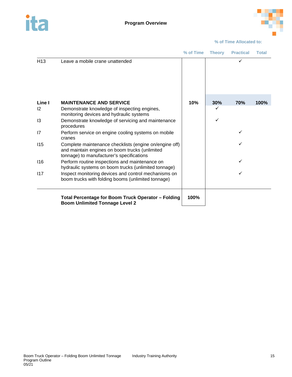



|                 |                                                                                                                                                       | % of Time | <b>Theory</b> | <b>Practical</b> | <b>Total</b> |
|-----------------|-------------------------------------------------------------------------------------------------------------------------------------------------------|-----------|---------------|------------------|--------------|
| H <sub>13</sub> | Leave a mobile crane unattended                                                                                                                       |           |               |                  |              |
| Line I          | <b>MAINTENANCE AND SERVICE</b>                                                                                                                        | 10%       | 30%           | 70%              | 100%         |
| 12              | Demonstrate knowledge of inspecting engines,<br>monitoring devices and hydraulic systems                                                              |           |               |                  |              |
| 13              | Demonstrate knowledge of servicing and maintenance<br>procedures                                                                                      |           | ✓             |                  |              |
| 17              | Perform service on engine cooling systems on mobile<br>cranes                                                                                         |           |               | ✓                |              |
| 115             | Complete maintenance checklists (engine on/engine off)<br>and maintain engines on boom trucks (unlimited<br>tonnage) to manufacturer's specifications |           |               |                  |              |
| 116             | Perform routine inspections and maintenance on<br>hydraulic systems on boom trucks (unlimited tonnage)                                                |           |               | ✓                |              |
| 117             | Inspect monitoring devices and control mechanisms on<br>boom trucks with folding booms (unlimited tonnage)                                            |           |               | ✓                |              |
|                 | Total Percentage for Boom Truck Operator - Folding<br><b>Boom Unlimited Tonnage Level 2</b>                                                           | 100%      |               |                  |              |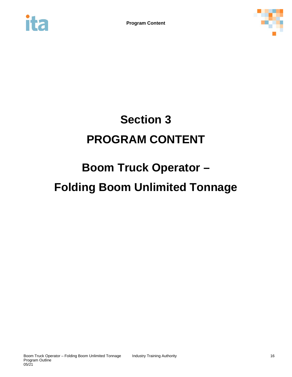<span id="page-19-0"></span>



# **Section 3 PROGRAM CONTENT**

# **Boom Truck Operator – Folding Boom Unlimited Tonnage**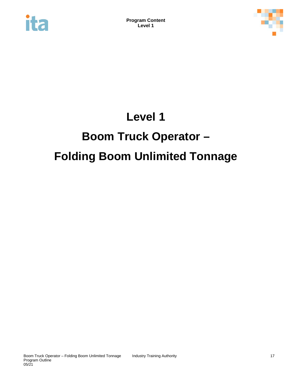<span id="page-20-0"></span>



## **Level 1**

# **Boom Truck Operator – Folding Boom Unlimited Tonnage**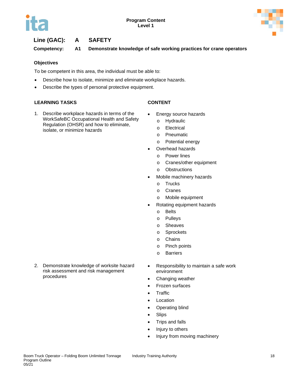



### **Line (GAC): A SAFETY**

**Competency: A1 Demonstrate knowledge of safe working practices for crane operators**

#### **Objectives**

To be competent in this area, the individual must be able to:

- Describe how to isolate, minimize and eliminate workplace hazards.
- Describe the types of personal protective equipment.

#### **LEARNING TASKS CONTENT**

1. Describe workplace hazards in terms of the WorkSafeBC Occupational Health and Safety Regulation (OHSR) and how to eliminate, isolate, or minimize hazards

- Energy source hazards
	- o Hydraulic
	- o Electrical
	- o Pneumatic
	- o Potential energy
- Overhead hazards
	- o Power lines
	- o Cranes/other equipment
	- o Obstructions
- Mobile machinery hazards
	- o Trucks
	- o Cranes
	- o Mobile equipment
- Rotating equipment hazards
	- o Belts
	- o Pulleys
	- o Sheaves
	- o Sprockets
	- o Chains
	- o Pinch points
	- o Barriers
- 2. Demonstrate knowledge of worksite hazard risk assessment and risk management procedures
- Responsibility to maintain a safe work environment
- Changing weather
- Frozen surfaces
- Traffic
- Location
- Operating blind
- Slips
- Trips and falls
- Injury to others
- Injury from moving machinery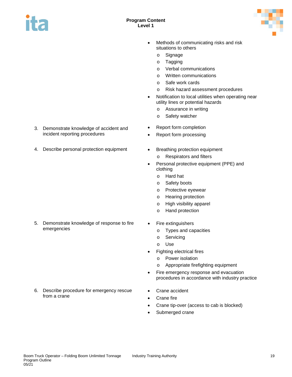



- Methods of communicating risks and risk situations to others
	- o Signage
	- o Tagging
	- o Verbal communications
	- o Written communications
	- o Safe work cards
	- o Risk hazard assessment procedures
- Notification to local utilities when operating near utility lines or potential hazards
	- o Assurance in writing
	- o Safety watcher
- Report form completion
- Report form processing
- o Respirators and filters
- Personal protective equipment (PPE) and clothing
	- o Hard hat
	- o Safety boots
	- o Protective eyewear
	- o Hearing protection
	- o High visibility apparel
	- o Hand protection
- Fire extinguishers
	- o Types and capacities
	- o Servicing
	- o Use
- Fighting electrical fires
	- o Power isolation
	- o Appropriate firefighting equipment
- Fire emergency response and evacuation procedures in accordance with industry practice
- Crane accident
- Crane fire
- Crane tip-over (access to cab is blocked)
- Submerged crane
- 3. Demonstrate knowledge of accident and incident reporting procedures
- 4. Describe personal protection equipment Breathing protection equipment

5. Demonstrate knowledge of response to fire emergencies

6. Describe procedure for emergency rescue

from a crane

Boom Truck Operator – Folding Boom Unlimited Tonnage Industry Training Authority 19 Program Outline

05/21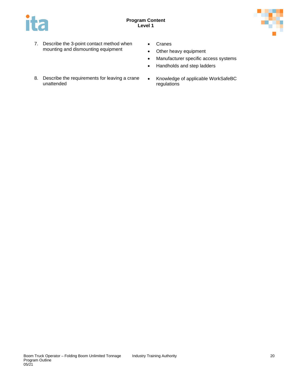



- 7. Describe the 3-point contact method when mounting and dismounting equipment
- Cranes
- Other heavy equipment
- Manufacturer specific access systems
- Handholds and step ladders
- 8. Describe the requirements for leaving a crane unattended
- Knowledge of applicable WorkSafeBC regulations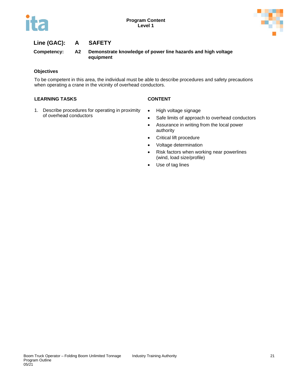



### **Line (GAC): A SAFETY**

**Competency: A2 Demonstrate knowledge of power line hazards and high voltage equipment**

#### **Objectives**

To be competent in this area, the individual must be able to describe procedures and safety precautions when operating a crane in the vicinity of overhead conductors.

- 1. Describe procedures for operating in proximity of overhead conductors
- High voltage signage
- Safe limits of approach to overhead conductors
- Assurance in writing from the local power authority
- Critical lift procedure
- Voltage determination
- Risk factors when working near powerlines (wind, load size/profile)
- Use of tag lines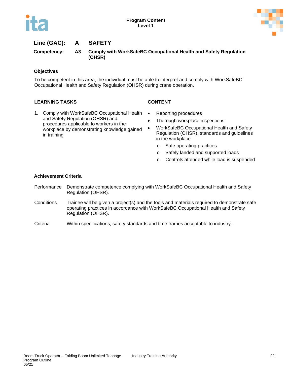



### **Line (GAC): A SAFETY**

**Competency: A3 Comply with WorkSafeBC Occupational Health and Safety Regulation (OHSR)**

#### **Objectives**

To be competent in this area, the individual must be able to interpret and comply with WorkSafeBC Occupational Health and Safety Regulation (OHSR) during crane operation.

#### **LEARNING TASKS CONTENT**

- 
- 1. Comply with WorkSafeBC Occupational Health and Safety Regulation (OHSR) and procedures applicable to workers in the workplace by demonstrating knowledge gained in training
- Reporting procedures
- Thorough workplace inspections
- WorkSafeBC Occupational Health and Safety Regulation (OHSR), standards and guidelines in the workplace
	- o Safe operating practices
	- o Safely landed and supported loads
	- o Controls attended while load is suspended

#### **Achievement Criteria**

- Performance Demonstrate competence complying with WorkSafeBC Occupational Health and Safety Regulation (OHSR).
- Conditions Trainee will be given a project(s) and the tools and materials required to demonstrate safe operating practices in accordance with WorkSafeBC Occupational Health and Safety Regulation (OHSR).
- Criteria Within specifications, safety standards and time frames acceptable to industry.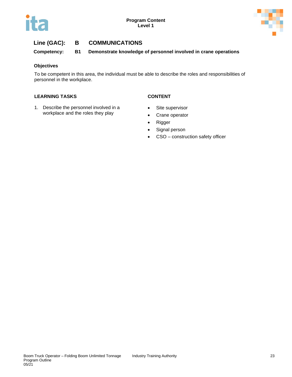



**Competency: B1 Demonstrate knowledge of personnel involved in crane operations**

#### **Objectives**

To be competent in this area, the individual must be able to describe the roles and responsibilities of personnel in the workplace.

- 1. Describe the personnel involved in a workplace and the roles they play
- Site supervisor
- Crane operator
- Rigger
- Signal person
- CSO construction safety officer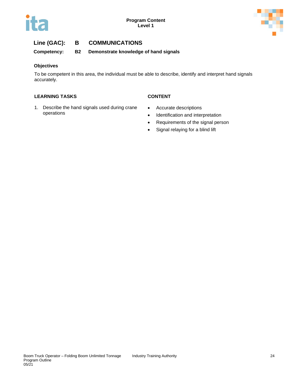



**Competency: B2 Demonstrate knowledge of hand signals**

#### **Objectives**

To be competent in this area, the individual must be able to describe, identify and interpret hand signals accurately.

- 1. Describe the hand signals used during crane operations
- Accurate descriptions • Identification and interpretation
- Requirements of the signal person
- Signal relaying for a blind lift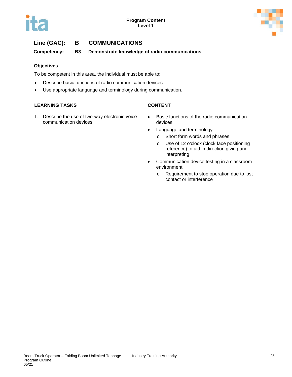



**Competency: B3 Demonstrate knowledge of radio communications**

#### **Objectives**

To be competent in this area, the individual must be able to:

- Describe basic functions of radio communication devices.
- Use appropriate language and terminology during communication.

- 1. Describe the use of two-way electronic voice communication devices
- Basic functions of the radio communication devices
- Language and terminology
	- o Short form words and phrases
	- o Use of 12 o'clock (clock face positioning reference) to aid in direction giving and interpreting
- Communication device testing in a classroom environment
	- o Requirement to stop operation due to lost contact or interference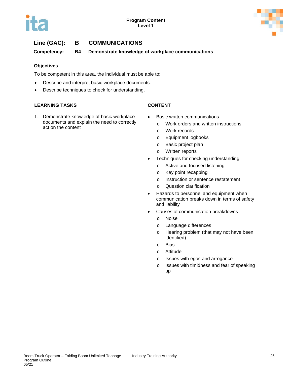



**Competency: B4 Demonstrate knowledge of workplace communications**

#### **Objectives**

To be competent in this area, the individual must be able to:

- Describe and interpret basic workplace documents.
- Describe techniques to check for understanding.

#### **LEARNING TASKS CONTENT**

1. Demonstrate knowledge of basic workplace documents and explain the need to correctly act on the content

- Basic written communications
	- o Work orders and written instructions
	- o Work records
	- o Equipment logbooks
	- o Basic project plan
	- o Written reports
- Techniques for checking understanding
	- o Active and focused listening
	- o Key point recapping
	- o Instruction or sentence restatement
	- o Question clarification
- Hazards to personnel and equipment when communication breaks down in terms of safety and liability
- Causes of communication breakdowns
	- o Noise
	- o Language differences
	- o Hearing problem (that may not have been identified)
	- o Bias
	- o Attitude
	- o Issues with egos and arrogance
	- o Issues with timidness and fear of speaking up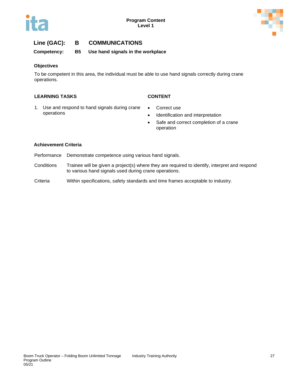



**Competency: B5 Use hand signals in the workplace**

#### **Objectives**

To be competent in this area, the individual must be able to use hand signals correctly during crane operations.

#### **LEARNING TASKS CONTENT**

- 1. Use and respond to hand signals during crane operations
- Correct use
- Identification and interpretation
- Safe and correct completion of a crane operation

#### **Achievement Criteria**

- Performance Demonstrate competence using various hand signals.
- Conditions Trainee will be given a project(s) where they are required to identify, interpret and respond to various hand signals used during crane operations.
- Criteria Within specifications, safety standards and time frames acceptable to industry.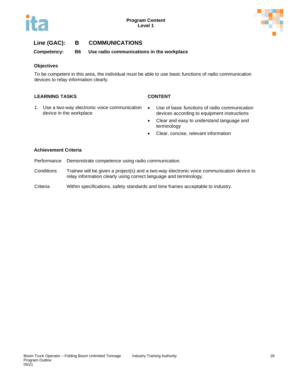



**Competency: B6 Use radio communications in the workplace**

#### **Objectives**

To be competent in this area, the individual must be able to use basic functions of radio communication devices to relay information clearly.

#### **LEARNING TASKS CONTENT**

- 1. Use a two-way electronic voice communication device in the workplace
- Use of basic functions of radio communication devices according to equipment instructions
- Clear and easy to understand language and terminology
- Clear, concise, relevant information

#### **Achievement Criteria**

- Performance Demonstrate competence using radio communication.
- Conditions Trainee will be given a project(s) and a two-way electronic voice communication device to relay information clearly using correct language and terminology.
- Criteria Within specifications, safety standards and time frames acceptable to industry.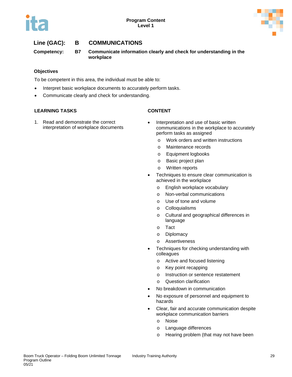



**Competency: B7 Communicate information clearly and check for understanding in the workplace**

#### **Objectives**

To be competent in this area, the individual must be able to:

- Interpret basic workplace documents to accurately perform tasks.
- Communicate clearly and check for understanding.

#### **LEARNING TASKS CONTENT**

1. Read and demonstrate the correct interpretation of workplace documents

- Interpretation and use of basic written communications in the workplace to accurately perform tasks as assigned
	- o Work orders and written instructions
	- o Maintenance records
	- o Equipment logbooks
	- o Basic project plan
	- o Written reports
- Techniques to ensure clear communication is achieved in the workplace
	- o English workplace vocabulary
	- o Non-verbal communications
	- o Use of tone and volume
	- o Colloquialisms
	- o Cultural and geographical differences in language
	- o Tact
	- o Diplomacy
	- o Assertiveness
- Techniques for checking understanding with colleagues
	- o Active and focused listening
	- o Key point recapping
	- o Instruction or sentence restatement
	- o Question clarification
- No breakdown in communication
- No exposure of personnel and equipment to hazards
- Clear, fair and accurate communication despite workplace communication barriers
	- o Noise
	- o Language differences
	- o Hearing problem (that may not have been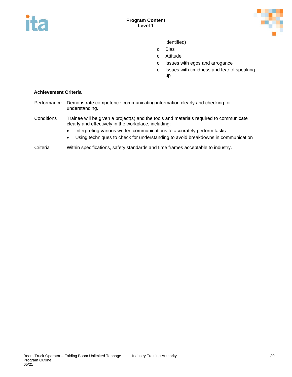



identified)

- o Bias
- o Attitude
- o Issues with egos and arrogance
- o Issues with timidness and fear of speaking up

#### **Achievement Criteria**

- Performance Demonstrate competence communicating information clearly and checking for understanding.
- Conditions Trainee will be given a project(s) and the tools and materials required to communicate clearly and effectively in the workplace, including:
	- Interpreting various written communications to accurately perform tasks
	- Using techniques to check for understanding to avoid breakdowns in communication
- Criteria Within specifications, safety standards and time frames acceptable to industry.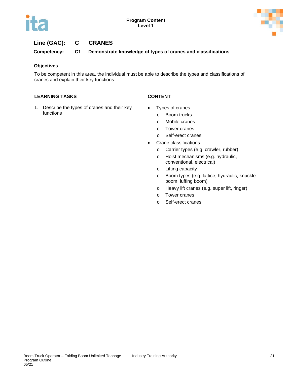



### **Line (GAC): C CRANES**

**Competency: C1 Demonstrate knowledge of types of cranes and classifications**

#### **Objectives**

To be competent in this area, the individual must be able to describe the types and classifications of cranes and explain their key functions.

#### **LEARNING TASKS CONTENT**

1. Describe the types of cranes and their key functions

- Types of cranes
	- o Boom trucks
	- o Mobile cranes
	- o Tower cranes
	- o Self-erect cranes
- Crane classifications
	- o Carrier types (e.g. crawler, rubber)
	- o Hoist mechanisms (e.g. hydraulic, conventional, electrical)
	- o Lifting capacity
	- o Boom types (e.g. lattice, hydraulic, knuckle boom, luffing boom)
	- o Heavy lift cranes (e.g. super lift, ringer)
	- o Tower cranes
	- o Self-erect cranes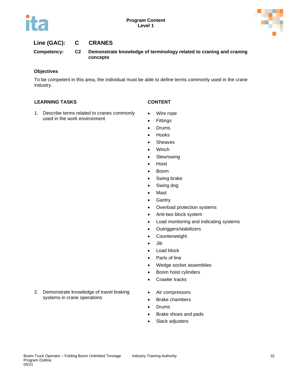



#### **Line (GAC): C CRANES**

**Competency: C2 Demonstrate knowledge of terminology related to craning and craning concepts**

#### **Objectives**

To be competent in this area, the individual must be able to define terms commonly used in the crane industry.

- 1. Describe terms related to cranes commonly used in the work environment
- 
- Wire rope
- Fittings
- Drums
- Hooks
- Sheaves
- Winch
- Slew/swing
- Hoist
- Boom
- Swing brake
- Swing dog
- Mast
- Gantry
- Overload protection systems
- Anti-two block system
- Load monitoring and indicating systems
- Outriggers/stabilizers
- Counterweight
- Jib
- Load block
- Parts of line
- Wedge socket assemblies
- Boom hoist cylinders
- Crawler tracks
- 2. Demonstrate knowledge of travel braking systems in crane operations
- Air compressors
- Brake chambers
- Drums
- Brake shoes and pads
- Slack adjusters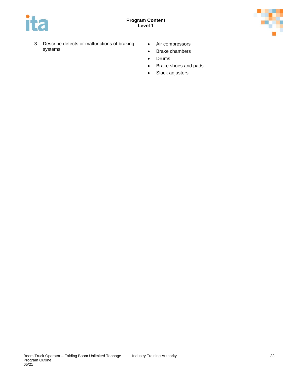

- 3. Describe defects or malfunctions of braking systems
- Air compressors
- Brake chambers
- Drums
- Brake shoes and pads
- Slack adjusters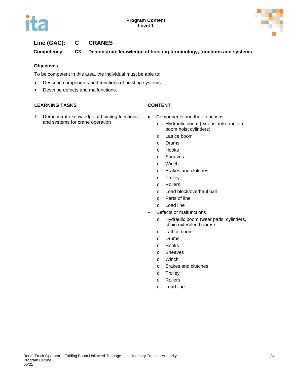



# **Line (GAC): C CRANES**

**Competency: C3 Demonstrate knowledge of hoisting terminology, functions and systems**

# **Objectives**

To be competent in this area, the individual must be able to:

- Describe components and functions of hoisting systems.
- Describe defects and malfunctions.

- 
- 1. Demonstrate knowledge of hoisting functions and systems for crane operation
- Components and their functions
	- o Hydraulic boom (extension/retraction, boom hoist cylinders)
	- o Lattice boom
	- o Drums
	- o Hooks
	- o Sheaves
	- o Winch
	- o Brakes and clutches
	- o Trolley
	- o Rollers
	- o Load block/overhaul ball
	- o Parts of line
	- o Load line
- Defects or malfunctions
	- o Hydraulic boom (wear pads, cylinders, chain extended booms)
	- o Lattice boom
	- o Drums
	- o Hooks
	- o Sheaves
	- o Winch
	- o Brakes and clutches
	- o Trolley
	- o Rollers
	- o Load line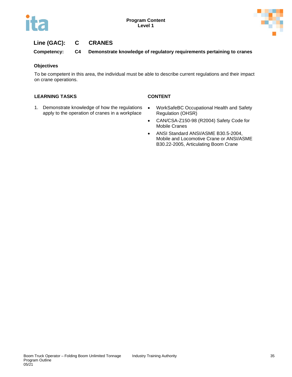



# **Line (GAC): C CRANES**

**Competency: C4 Demonstrate knowledge of regulatory requirements pertaining to cranes**

### **Objectives**

To be competent in this area, the individual must be able to describe current regulations and their impact on crane operations.

- 1. Demonstrate knowledge of how the regulations apply to the operation of cranes in a workplace
- WorkSafeBC Occupational Health and Safety Regulation (OHSR)
- CAN/CSA-Z150-98 (R2004) Safety Code for Mobile Cranes
- ANSI Standard ANSI/ASME B30.5-2004, Mobile and Locomotive Crane or ANSI/ASME B30.22-2005, Articulating Boom Crane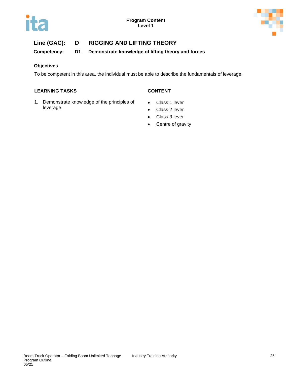



# **Line (GAC): D RIGGING AND LIFTING THEORY**

**Competency: D1 Demonstrate knowledge of lifting theory and forces**

# **Objectives**

To be competent in this area, the individual must be able to describe the fundamentals of leverage.

- 1. Demonstrate knowledge of the principles of leverage
- Class 1 lever
- Class 2 lever
- Class 3 lever
- Centre of gravity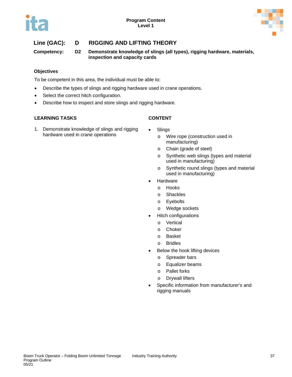



# **Line (GAC): D RIGGING AND LIFTING THEORY**

**Competency: D2 Demonstrate knowledge of slings (all types), rigging hardware, materials, inspection and capacity cards**

# **Objectives**

To be competent in this area, the individual must be able to:

- Describe the types of slings and rigging hardware used in crane operations.
- Select the correct hitch configuration.
- Describe how to inspect and store slings and rigging hardware.

- 1. Demonstrate knowledge of slings and rigging hardware used in crane operations
- **Slings** 
	- o Wire rope (construction used in manufacturing)
	- o Chain (grade of steel)
	- o Synthetic web slings (types and material used in manufacturing)
	- o Synthetic round slings (types and material used in manufacturing)
- **Hardware** 
	- o Hooks
	- o Shackles
	- o Eyebolts
	- o Wedge sockets
- Hitch configurations
	- o Vertical
	- o Choker
	- o Basket
	- o Bridles
- Below the hook lifting devices
	- o Spreader bars
	- o Equalizer beams
	- o Pallet forks
	- o Drywall lifters
- Specific information from manufacturer's and rigging manuals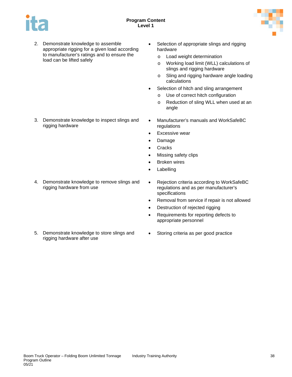

2. Demonstrate knowledge to assemble appropriate rigging for a given load according to manufacturer's ratings and to ensure the load can be lifted safely

3. Demonstrate knowledge to inspect slings and rigging hardware

4. Demonstrate knowledge to remove slings and rigging hardware from use

5. Demonstrate knowledge to store slings and rigging hardware after use

- Selection of appropriate slings and rigging hardware
	- o Load weight determination
	- o Working load limit (WLL) calculations of slings and rigging hardware
	- o Sling and rigging hardware angle loading calculations
- Selection of hitch and sling arrangement
	- o Use of correct hitch configuration
	- o Reduction of sling WLL when used at an angle
- Manufacturer's manuals and WorkSafeBC regulations
- **Excessive wear**
- Damage
- **Cracks**
- Missing safety clips
- **Broken wires**
- **Labelling**
- Rejection criteria according to WorkSafeBC regulations and as per manufacturer's specifications
- Removal from service if repair is not allowed
- Destruction of rejected rigging
- Requirements for reporting defects to appropriate personnel
- Storing criteria as per good practice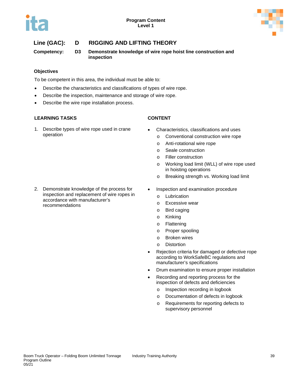



# **Line (GAC): D RIGGING AND LIFTING THEORY**

**Competency: D3 Demonstrate knowledge of wire rope hoist line construction and inspection**

# **Objectives**

To be competent in this area, the individual must be able to:

- Describe the characteristics and classifications of types of wire rope.
- Describe the inspection, maintenance and storage of wire rope.
- Describe the wire rope installation process.

# **LEARNING TASKS CONTENT**

1. Describe types of wire rope used in crane operation

- Characteristics, classifications and uses
	- o Conventional construction wire rope
	- o Anti-rotational wire rope
	- o Seale construction
	- o Filler construction
	- o Working load limit (WLL) of wire rope used in hoisting operations
	- o Breaking strength vs. Working load limit
- Inspection and examination procedure
	- o Lubrication
	- o Excessive wear
	- o Bird caging
	- o Kinking
	- o Flattening
	- o Proper spooling
	- o Broken wires
	- o Distortion
- Rejection criteria for damaged or defective rope according to WorkSafeBC regulations and manufacturer's specifications
- Drum examination to ensure proper installation
- Recording and reporting process for the inspection of defects and deficiencies
	- o Inspection recording in logbook
	- o Documentation of defects in logbook
	- o Requirements for reporting defects to supervisory personnel

2. Demonstrate knowledge of the process for inspection and replacement of wire ropes in accordance with manufacturer's recommendations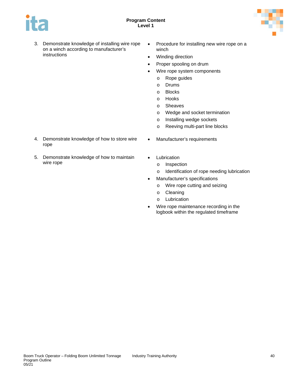



- 3. Demonstrate knowledge of installing wire rope on a winch according to manufacturer's instructions
- Procedure for installing new wire rope on a winch
- Winding direction
- Proper spooling on drum
- Wire rope system components
	- o Rope guides
	- o Drums
	- o Blocks
	- o Hooks
	- o Sheaves
	- o Wedge and socket termination
	- o Installing wedge sockets
	- o Reeving multi-part line blocks
- 4. Demonstrate knowledge of how to store wire rope
- 5. Demonstrate knowledge of how to maintain wire rope
- Manufacturer's requirements
- Lubrication
	- o Inspection
	- o Identification of rope needing lubrication
- Manufacturer's specifications
	- o Wire rope cutting and seizing
	- o Cleaning
	- o Lubrication
- Wire rope maintenance recording in the logbook within the regulated timeframe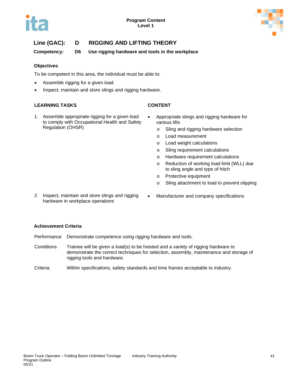



# **Line (GAC): D RIGGING AND LIFTING THEORY**

**Competency: D6 Use rigging hardware and tools in the workplace**

# **Objectives**

To be competent in this area, the individual must be able to:

- Assemble rigging for a given load.
- Inspect, maintain and store slings and rigging hardware.

# **LEARNING TASKS CONTENT**

- 
- 1. Assemble appropriate rigging for a given load to comply with Occupational Health and Safety Regulation (OHSR)
- Appropriate slings and rigging hardware for various lifts
	- o Sling and rigging hardware selection
	- o Load measurement
	- o Load weight calculations
	- o Sling requirement calculations
	- o Hardware requirement calculations
	- o Reduction of working load limit (WLL) due to sling angle and type of hitch
	- o Protective equipment
	- o Sling attachment to load to prevent slipping
- 2. Inspect, maintain and store slings and rigging hardware in workplace operations
- Manufacturer and company specifications

# **Achievement Criteria**

- Performance Demonstrate competence using rigging hardware and tools.
- Conditions Trainee will be given a load(s) to be hoisted and a variety of rigging hardware to demonstrate the correct techniques for selection, assembly, maintenance and storage of rigging tools and hardware.
- Criteria Within specifications, safety standards and time frames acceptable to industry.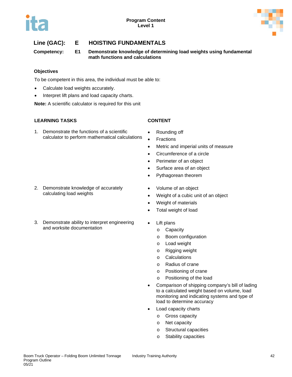



# **Line (GAC): E HOISTING FUNDAMENTALS**

**Competency: E1 Demonstrate knowledge of determining load weights using fundamental math functions and calculations**

# **Objectives**

To be competent in this area, the individual must be able to:

- Calculate load weights accurately.
- Interpret lift plans and load capacity charts.

**Note:** A scientific calculator is required for this unit

# **LEARNING TASKS CONTENT**

1. Demonstrate the functions of a scientific calculator to perform mathematical calculations

- 2. Demonstrate knowledge of accurately calculating load weights
- 3. Demonstrate ability to interpret engineering and worksite documentation

- Rounding off
- **Fractions**
- Metric and imperial units of measure
- Circumference of a circle
- Perimeter of an object
- Surface area of an object
- Pythagorean theorem
- Volume of an object
- Weight of a cubic unit of an object
- Weight of materials
- Total weight of load
- Lift plans
	- o Capacity
	- o Boom configuration
	- o Load weight
	- o Rigging weight
	- o Calculations
	- o Radius of crane
	- o Positioning of crane
	- o Positioning of the load
- Comparison of shipping company's bill of lading to a calculated weight based on volume, load monitoring and indicating systems and type of load to determine accuracy
- Load capacity charts
	- o Gross capacity
	- o Net capacity
	- o Structural capacities
	- o Stability capacities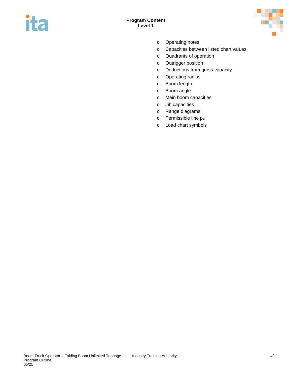



- o Operating notes
- o Capacities between listed chart values
- o Quadrants of operation
- o Outrigger position
- o Deductions from gross capacity
- o Operating radius
- o Boom length
- o Boom angle
- o Main boom capacities
- o Jib capacities
- o Range diagrams
- o Permissible line pull
- o Load chart symbols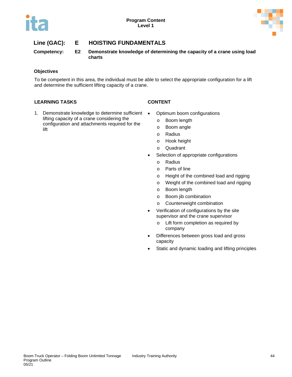

# **Line (GAC): E HOISTING FUNDAMENTALS**

**Competency: E2 Demonstrate knowledge of determining the capacity of a crane using load charts**

# **Objectives**

To be competent in this area, the individual must be able to select the appropriate configuration for a lift and determine the sufficient lifting capacity of a crane.

# **LEARNING TASKS CONTENT**

1. Demonstrate knowledge to determine sufficient . lifting capacity of a crane considering the configuration and attachments required for the lift

- Optimum boom configurations
	- o Boom length
	- o Boom angle
	- o Radius
	- o Hook height
	- o Quadrant
- Selection of appropriate configurations
	- o Radius
	- o Parts of line
	- o Height of the combined load and rigging
	- o Weight of the combined load and rigging
	- o Boom length
	- o Boom jib combination
	- o Counterweight combination
- Verification of configurations by the site supervisor and the crane supervisor
	- o Lift form completion as required by company
- Differences between gross load and gross capacity
- Static and dynamic loading and lifting principles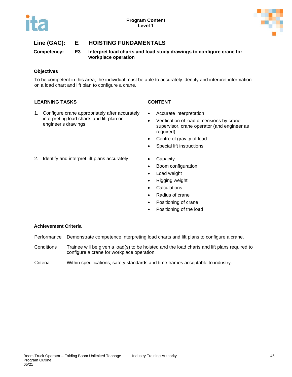



# **Line (GAC): E HOISTING FUNDAMENTALS**

**Competency: E3 Interpret load charts and load study drawings to configure crane for workplace operation**

# **Objectives**

To be competent in this area, the individual must be able to accurately identify and interpret information on a load chart and lift plan to configure a crane.

# **LEARNING TASKS CONTENT**

1. Configure crane appropriately after accurately interpreting load charts and lift plan or engineer's drawings

- Accurate interpretation
- Verification of load dimensions by crane supervisor, crane operator (and engineer as required)
- Centre of gravity of load
- Special lift instructions
- 2. Identify and interpret lift plans accurately Capacity
	-
	- Boom configuration
	- Load weight
	- Rigging weight
	- Calculations
	- Radius of crane
	- Positioning of crane
	- Positioning of the load

# **Achievement Criteria**

- Performance Demonstrate competence interpreting load charts and lift plans to configure a crane.
- Conditions Trainee will be given a load(s) to be hoisted and the load charts and lift plans required to configure a crane for workplace operation.
- Criteria Within specifications, safety standards and time frames acceptable to industry.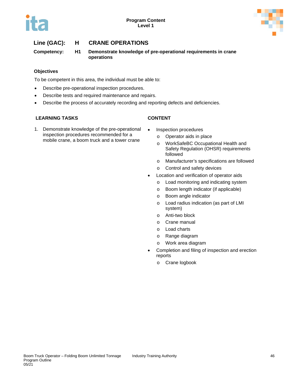



# **Line (GAC): H CRANE OPERATIONS**

**Competency: H1 Demonstrate knowledge of pre-operational requirements in crane operations**

# **Objectives**

To be competent in this area, the individual must be able to:

- Describe pre-operational inspection procedures.
- Describe tests and required maintenance and repairs.
- Describe the process of accurately recording and reporting defects and deficiencies.

# **LEARNING TASKS CONTENT**

1. Demonstrate knowledge of the pre-operational inspection procedures recommended for a mobile crane, a boom truck and a tower crane

- Inspection procedures
	- o Operator aids in place
	- o WorkSafeBC Occupational Health and Safety Regulation (OHSR) requirements followed
	- o Manufacturer's specifications are followed
	- o Control and safety devices
- Location and verification of operator aids
	- o Load monitoring and indicating system
	- o Boom length indicator (if applicable)
	- o Boom angle indicator
	- o Load radius indication (as part of LMI system)
	- o Anti-two block
	- o Crane manual
	- o Load charts
	- o Range diagram
	- o Work area diagram
- Completion and filing of inspection and erection reports
	- o Crane logbook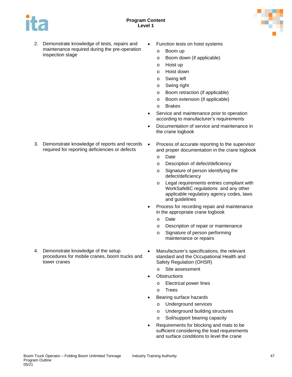



- 2. Demonstrate knowledge of tests, repairs and maintenance required during the pre-operation inspection stage
- Function tests on hoist systems
	- o Boom up
	- o Boom down (if applicable)
	- o Hoist up
	- o Hoist down
	- o Swing left
	- o Swing right
	- o Boom retraction (if applicable)
	- o Boom extension (if applicable)
	- o Brakes
- Service and maintenance prior to operation according to manufacturer's requirements
- Documentation of service and maintenance in the crane logbook
- 3. Demonstrate knowledge of reports and records required for reporting deficiencies or defects
- Process of accurate reporting to the supervisor and proper documentation in the crane logbook
	- o Date
	- o Description of defect/deficiency
	- o Signature of person identifying the defect/deficiency
	- o Legal requirements entries compliant with WorkSafeBC regulations and any other applicable regulatory agency codes, laws and guidelines
- Process for recording repair and maintenance in the appropriate crane logbook
	- o Date
	- o Description of repair or maintenance
	- o Signature of person performing maintenance or repairs
- Manufacturer's specifications, the relevant standard and the Occupational Health and Safety Regulation (OHSR)
	- o Site assessment
- **Obstructions** 
	- o Electrical power lines
	- o Trees
- Bearing surface hazards
	- o Underground services
	- o Underground building structures
	- o Soil/support bearing capacity
- Requirements for blocking and mats to be sufficient considering the load requirements and surface conditions to level the crane

4. Demonstrate knowledge of the setup

tower cranes

procedures for mobile cranes, boom trucks and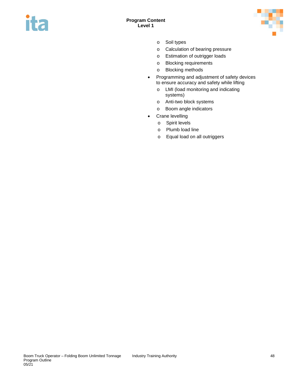



- o Soil types
- o Calculation of bearing pressure
- o Estimation of outrigger loads
- o Blocking requirements
- o Blocking methods
- Programming and adjustment of safety devices to ensure accuracy and safety while lifting
	- o LMI (load monitoring and indicating systems)
	- o Anti-two block systems
	- o Boom angle indicators
- Crane levelling
	- o Spirit levels
	- o Plumb load line
	- o Equal load on all outriggers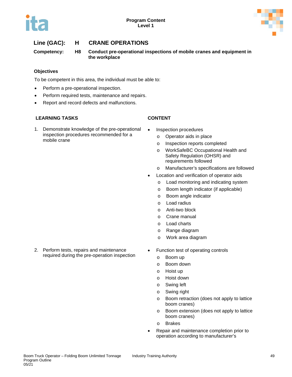



# **Line (GAC): H CRANE OPERATIONS**

**Competency: H8 Conduct pre-operational inspections of mobile cranes and equipment in the workplace**

# **Objectives**

To be competent in this area, the individual must be able to:

- Perform a pre-operational inspection.
- Perform required tests, maintenance and repairs.
- Report and record defects and malfunctions.

# **LEARNING TASKS CONTENT**

1. Demonstrate knowledge of the pre-operational inspection procedures recommended for a mobile crane

- Inspection procedures
	- o Operator aids in place
	- o Inspection reports completed
	- o WorkSafeBC Occupational Health and Safety Regulation (OHSR) and requirements followed
	- o Manufacturer's specifications are followed
- Location and verification of operator aids
	- o Load monitoring and indicating system
	- o Boom length indicator (if applicable)
	- o Boom angle indicator
	- o Load radius
	- o Anti-two block
	- o Crane manual
	- o Load charts
	- o Range diagram
	- o Work area diagram
- Function test of operating controls
	- o Boom up
	- o Boom down
	- o Hoist up
	- o Hoist down
	- o Swing left
	- o Swing right
	- o Boom retraction (does not apply to lattice boom cranes)
	- o Boom extension (does not apply to lattice boom cranes)
	- o Brakes
	- Repair and maintenance completion prior to operation according to manufacturer's

2. Perform tests, repairs and maintenance required during the pre-operation inspection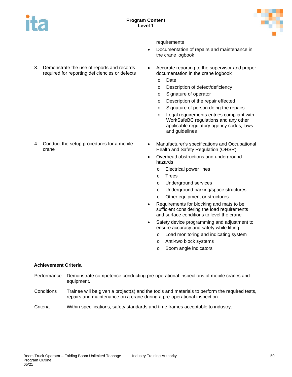



requirements

- Documentation of repairs and maintenance in the crane logbook
- 3. Demonstrate the use of reports and records required for reporting deficiencies or defects

4. Conduct the setup procedures for a mobile

- Accurate reporting to the supervisor and proper documentation in the crane logbook
	- o Date
	- o Description of defect/deficiency
	- o Signature of operator
	- o Description of the repair effected
	- o Signature of person doing the repairs
	- o Legal requirements entries compliant with WorkSafeBC regulations and any other applicable regulatory agency codes, laws and guidelines
- Manufacturer's specifications and Occupational Health and Safety Regulation (OHSR)
- Overhead obstructions and underground hazards
	- o Electrical power lines
	- o Trees
	- o Underground services
	- o Underground parking/space structures
	- Other equipment or structures
- Requirements for blocking and mats to be sufficient considering the load requirements and surface conditions to level the crane
- Safety device programming and adjustment to ensure accuracy and safety while lifting
	- o Load monitoring and indicating system
	- o Anti-two block systems
	- o Boom angle indicators

# **Achievement Criteria**

crane

- Performance Demonstrate competence conducting pre-operational inspections of mobile cranes and equipment.
- Conditions Trainee will be given a project(s) and the tools and materials to perform the required tests, repairs and maintenance on a crane during a pre-operational inspection.

Criteria Within specifications, safety standards and time frames acceptable to industry.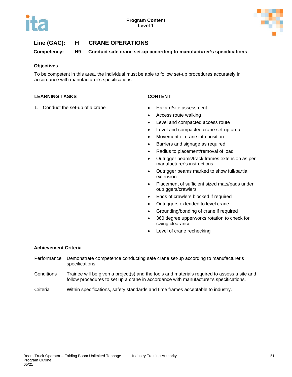

# **Line (GAC): H CRANE OPERATIONS**

**Competency: H9 Conduct safe crane set-up according to manufacturer's specifications**

# **Objectives**

To be competent in this area, the individual must be able to follow set-up procedures accurately in accordance with manufacturer's specifications.

# **LEARNING TASKS CONTENT**

- 1. Conduct the set-up of a crane Hazard/site assessment
	- Access route walking
	- Level and compacted access route
	- Level and compacted crane set-up area
	- Movement of crane into position
	- Barriers and signage as required
	- Radius to placement/removal of load
	- Outrigger beams/track frames extension as per manufacturer's instructions
	- Outrigger beams marked to show full/partial extension
	- Placement of sufficient sized mats/pads under outriggers/crawlers
	- Ends of crawlers blocked if required
	- Outriggers extended to level crane
	- Grounding/bonding of crane if required
	- 360 degree upperworks rotation to check for swing clearance
	- Level of crane rechecking

# **Achievement Criteria**

- Performance Demonstrate competence conducting safe crane set-up according to manufacturer's specifications.
- Conditions Trainee will be given a project(s) and the tools and materials required to assess a site and follow procedures to set up a crane in accordance with manufacturer's specifications.

Criteria Within specifications, safety standards and time frames acceptable to industry.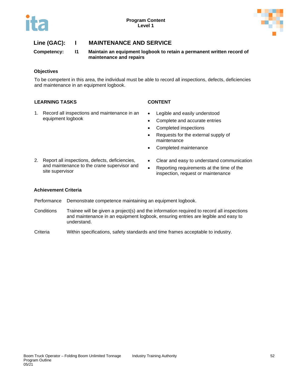

# **Line (GAC): I MAINTENANCE AND SERVICE**

**Competency: I1 Maintain an equipment logbook to retain a permanent written record of maintenance and repairs**

### **Objectives**

To be competent in this area, the individual must be able to record all inspections, defects, deficiencies and maintenance in an equipment logbook.

# **LEARNING TASKS CONTENT**

- 1. Record all inspections and maintenance in an equipment logbook
- Legible and easily understood
- Complete and accurate entries
- Completed inspections
- Requests for the external supply of maintenance
- Completed maintenance
- 2. Report all inspections, defects, deficiencies, and maintenance to the crane supervisor and site supervisor
- Clear and easy to understand communication
- Reporting requirements at the time of the inspection, request or maintenance

### **Achievement Criteria**

- Performance Demonstrate competence maintaining an equipment logbook.
- Conditions Trainee will be given a project(s) and the information required to record all inspections and maintenance in an equipment logbook, ensuring entries are legible and easy to understand.
- Criteria Within specifications, safety standards and time frames acceptable to industry.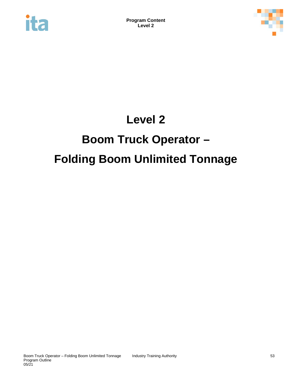



# **Level 2**

# **Boom Truck Operator –**

# **Folding Boom Unlimited Tonnage**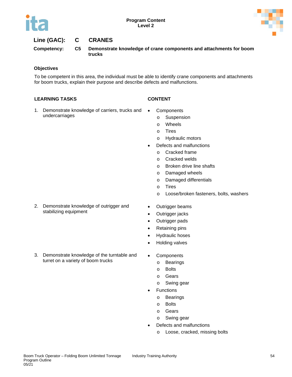

# **Line (GAC): C CRANES**

**Competency: C5 Demonstrate knowledge of crane components and attachments for boom trucks**

# **Objectives**

To be competent in this area, the individual must be able to identify crane components and attachments for boom trucks, explain their purpose and describe defects and malfunctions.

- 1. Demonstrate knowledge of carriers, trucks and undercarriages
- 
- Components
	- o Suspension
	- o Wheels
	- o Tires
	- o Hydraulic motors
- Defects and malfunctions
	- o Cracked frame
	- o Cracked welds
	- o Broken drive line shafts
	- o Damaged wheels
	- o Damaged differentials
	- o Tires
	- o Loose/broken fasteners, bolts, washers
- 2. Demonstrate knowledge of outrigger and stabilizing equipment
- Outrigger beams
- Outrigger jacks
- Outrigger pads
- Retaining pins
- Hydraulic hoses
- Holding valves
- 3. Demonstrate knowledge of the turntable and turret on a variety of boom trucks
- Components
	- o Bearings
	- o Bolts
	- o Gears
	- o Swing gear
- **Functions** 
	- o Bearings
	- o Bolts
	- o Gears
	- o Swing gear
- Defects and malfunctions
	- o Loose, cracked, missing bolts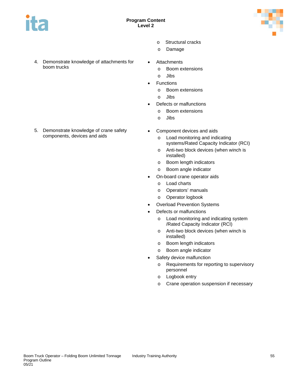



- o Structural cracks
- o Damage
- 4. Demonstrate knowledge of attachments for boom trucks
- **Attachments** 
	- o Boom extensions
	- o Jibs
- **Functions** 
	- o Boom extensions
	- o Jibs
- Defects or malfunctions
	- o Boom extensions
	- o Jibs
- Component devices and aids
	- o Load monitoring and indicating systems/Rated Capacity Indicator (RCI)
	- o Anti-two block devices (when winch is installed)
	- o Boom length indicators
	- o Boom angle indicator
	- On-board crane operator aids
		- o Load charts
		- o Operators' manuals
		- o Operator logbook
	- **Overload Prevention Systems**
	- Defects or malfunctions
		- o Load monitoring and indicating system /Rated Capacity Indicator (RCI)
		- o Anti-two block devices (when winch is installed)
		- o Boom length indicators
		- o Boom angle indicator
	- Safety device malfunction
		- o Requirements for reporting to supervisory personnel
		- o Logbook entry
		- o Crane operation suspension if necessary

5. Demonstrate knowledge of crane safety components, devices and aids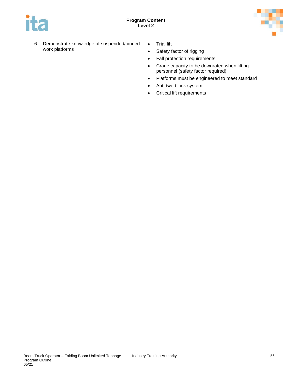

- 6. Demonstrate knowledge of suspended/pinned work platforms
- Trial lift
- Safety factor of rigging
- Fall protection requirements
- Crane capacity to be downrated when lifting personnel (safety factor required)
- Platforms must be engineered to meet standard
- Anti-two block system
- Critical lift requirements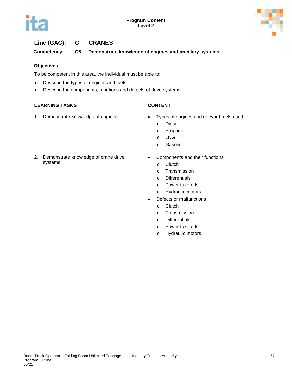



# **Line (GAC): C CRANES**

**Competency: C6 Demonstrate knowledge of engines and ancillary systems**

# **Objectives**

To be competent in this area, the individual must be able to:

- Describe the types of engines and fuels.
- Describe the components, functions and defects of drive systems.

- 
- 1. Demonstrate knowledge of engines Types of engines and relevant fuels used
	- o Diesel
	- o Propane
	- o LNG
	- o Gasoline
- 2. Demonstrate knowledge of crane drive systems
- Components and their functions
	- o Clutch
	- o Transmission
	- o Differentials
	- o Power take-offs
	- o Hydraulic motors
- Defects or malfunctions
	- o Clutch
	- o Transmission
	- o Differentials
	- o Power take-offs
	- o Hydraulic motors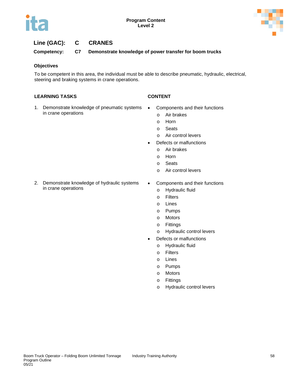



# **Line (GAC): C CRANES**

**Competency: C7 Demonstrate knowledge of power transfer for boom trucks**

# **Objectives**

To be competent in this area, the individual must be able to describe pneumatic, hydraulic, electrical, steering and braking systems in crane operations.

- 
- 1. Demonstrate knowledge of pneumatic systems in crane operations
- Components and their functions
	- o Air brakes
	- o Horn
	- o Seats
	- o Air control levers
- Defects or malfunctions
	- o Air brakes
	- o Horn
	- o Seats
	- o Air control levers
- 2. Demonstrate knowledge of hydraulic systems in crane operations
- Components and their functions
	- o Hydraulic fluid
	- o Filters
	- o Lines
	- o Pumps
	- o Motors
	- o Fittings
	- o Hydraulic control levers
- Defects or malfunctions
	- o Hydraulic fluid
	- o Filters
	- o Lines
	- o Pumps
	- o Motors
	- o Fittings
	- o Hydraulic control levers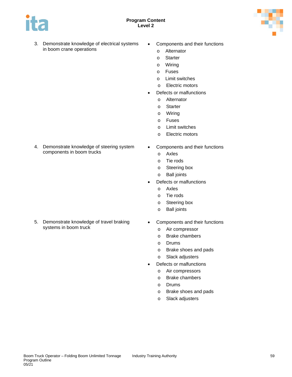



- 3. Demonstrate knowledge of electrical systems in boom crane operations
- Components and their functions
	- o Alternator
	- o Starter
	- o Wiring
	- o Fuses
	- o Limit switches
	- o Electric motors
- Defects or malfunctions
	- o Alternator
	- o Starter
	- o Wiring
	- o Fuses
	- o Limit switches
	- o Electric motors
- 4. Demonstrate knowledge of steering system components in boom trucks
- Components and their functions
	- o Axles
	- o Tie rods
	- o Steering box
	- o Ball joints
- Defects or malfunctions
	- o Axles
	- o Tie rods
	- o Steering box
	- o Ball joints
- 5. Demonstrate knowledge of travel braking systems in boom truck
- Components and their functions
	- o Air compressor
	- o Brake chambers
	- o Drums
	- o Brake shoes and pads
	- o Slack adjusters
- Defects or malfunctions
	- o Air compressors
	- o Brake chambers
	- o Drums
	- o Brake shoes and pads
	- o Slack adjusters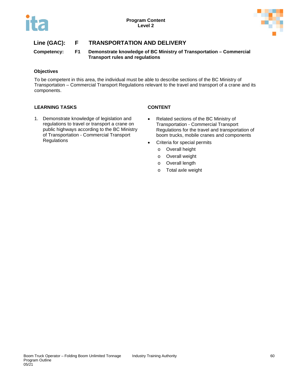

**Competency: F1 Demonstrate knowledge of BC Ministry of Transportation – Commercial Transport rules and regulations**

# **Objectives**

To be competent in this area, the individual must be able to describe sections of the BC Ministry of Transportation – Commercial Transport Regulations relevant to the travel and transport of a crane and its components.

- 1. Demonstrate knowledge of legislation and regulations to travel or transport a crane on public highways according to the BC Ministry of Transportation - Commercial Transport Regulations
- Related sections of the BC Ministry of Transportation - Commercial Transport Regulations for the travel and transportation of boom trucks, mobile cranes and components
- Criteria for special permits
	- o Overall height
	- o Overall weight
	- o Overall length
	- o Total axle weight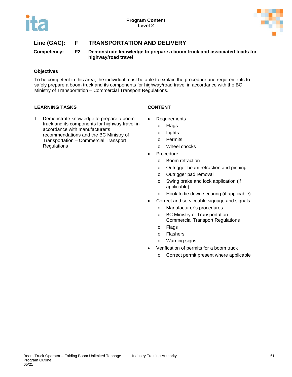

**Competency: F2 Demonstrate knowledge to prepare a boom truck and associated loads for highway/road travel**

# **Objectives**

To be competent in this area, the individual must be able to explain the procedure and requirements to safely prepare a boom truck and its components for highway/road travel in accordance with the BC Ministry of Transportation – Commercial Transport Regulations.

- 1. Demonstrate knowledge to prepare a boom truck and its components for highway travel in accordance with manufacturer's recommendations and the BC Ministry of Transportation – Commercial Transport **Regulations**
- **Requirements** 
	- o Flags
	- o Lights
	- o Permits
	- o Wheel chocks
- Procedure
	- o Boom retraction
	- o Outrigger beam retraction and pinning
	- o Outrigger pad removal
	- o Swing brake and lock application (if applicable)
	- o Hook to tie down securing (if applicable)
- Correct and serviceable signage and signals
	- o Manufacturer's procedures
	- o BC Ministry of Transportation Commercial Transport Regulations
	- o Flags
	- o Flashers
	- o Warning signs
- Verification of permits for a boom truck
	- o Correct permit present where applicable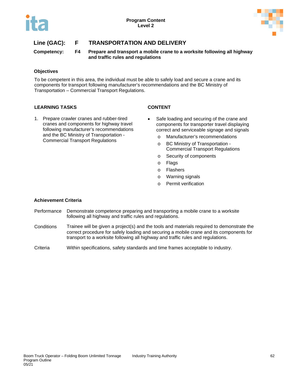

**Competency: F4 Prepare and transport a mobile crane to a worksite following all highway and traffic rules and regulations**

# **Objectives**

To be competent in this area, the individual must be able to safely load and secure a crane and its components for transport following manufacturer's recommendations and the BC Ministry of Transportation – Commercial Transport Regulations.

# **LEARNING TASKS CONTENT**

- 1. Prepare crawler cranes and rubber-tired cranes and components for highway travel following manufacturer's recommendations
	- and the BC Ministry of Transportation Commercial Transport Regulations

- Safe loading and securing of the crane and components for transporter travel displaying correct and serviceable signage and signals
	- o Manufacturer's recommendations
	- o BC Ministry of Transportation Commercial Transport Regulations
	- o Security of components
	- o Flags
	- o Flashers
	- o Warning signals
	- o Permit verification

# **Achievement Criteria**

- Performance Demonstrate competence preparing and transporting a mobile crane to a worksite following all highway and traffic rules and regulations.
- Conditions Trainee will be given a project(s) and the tools and materials required to demonstrate the correct procedure for safely loading and securing a mobile crane and its components for transport to a worksite following all highway and traffic rules and regulations.

Criteria Within specifications, safety standards and time frames acceptable to industry.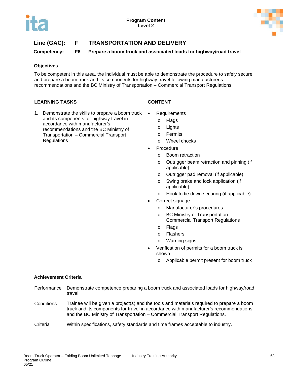

**Competency: F6 Prepare a boom truck and associated loads for highway/road travel**

# **Objectives**

To be competent in this area, the individual must be able to demonstrate the procedure to safely secure and prepare a boom truck and its components for highway travel following manufacturer's recommendations and the BC Ministry of Transportation – Commercial Transport Regulations.

# **LEARNING TASKS CONTENT**

- 1. Demonstrate the skills to prepare a boom truck and its components for highway travel in accordance with manufacturer's recommendations and the BC Ministry of Transportation – Commercial Transport **Regulations** 
	- Requirements
		- o Flags
		- o Lights
		- o Permits
		- o Wheel chocks
		- **Procedure** 
			- o Boom retraction
			- o Outrigger beam retraction and pinning (if applicable)
			- o Outrigger pad removal (if applicable)
			- o Swing brake and lock application (if applicable)
			- o Hook to tie down securing (if applicable)
		- Correct signage
			- o Manufacturer's procedures
			- o BC Ministry of Transportation Commercial Transport Regulations
			- o Flags
			- o Flashers
			- o Warning signs
		- Verification of permits for a boom truck is shown
			- o Applicable permit present for boom truck

# **Achievement Criteria**

- Performance Demonstrate competence preparing a boom truck and associated loads for highway/road travel.
- Conditions Trainee will be given a project(s) and the tools and materials required to prepare a boom truck and its components for travel in accordance with manufacturer's recommendations and the BC Ministry of Transportation – Commercial Transport Regulations.

# Criteria Within specifications, safety standards and time frames acceptable to industry.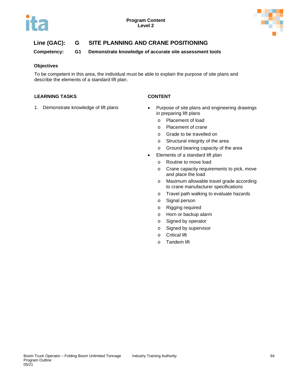

**Competency: G1 Demonstrate knowledge of accurate site assessment tools**

# **Objectives**

To be competent in this area, the individual must be able to explain the purpose of site plans and describe the elements of a standard lift plan.

- 
- 1. Demonstrate knowledge of lift plans Purpose of site plans and engineering drawings in preparing lift plans
	- o Placement of load
	- o Placement of crane
	- o Grade to be travelled on
	- o Structural integrity of the area
	- o Ground bearing capacity of the area
	- Elements of a standard lift plan
		- o Routine to move load
		- o Crane capacity requirements to pick, move and place the load
		- o Maximum allowable travel grade according to crane manufacturer specifications
		- o Travel path walking to evaluate hazards
		- o Signal person
		- o Rigging required
		- o Horn or backup alarm
		- o Signed by operator
		- o Signed by supervisor
		- o Critical lift
		- o Tandem lift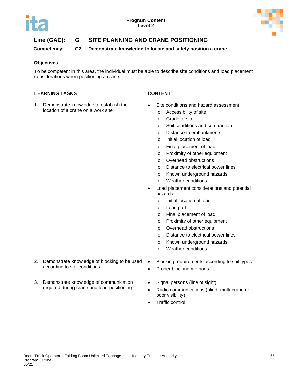

**Competency: G2 Demonstrate knowledge to locate and safely position a crane**

# **Objectives**

To be competent in this area, the individual must be able to describe site conditions and load placement considerations when positioning a crane.

# **LEARNING TASKS CONTENT**

1. Demonstrate knowledge to establish the location of a crane on a work site

- Site conditions and hazard assessment
	- o Accessibility of site
	- o Grade of site
	- o Soil conditions and compaction
	- o Distance to embankments
	- o Initial location of load
	- o Final placement of load
	- o Proximity of other equipment
	- o Overhead obstructions
	- o Distance to electrical power lines
	- o Known underground hazards
	- o Weather conditions
- Load placement considerations and potential hazards
	- o Initial location of load
	- o Load path
	- o Final placement of load
	- o Proximity of other equipment
	- o Overhead obstructions
	- o Distance to electrical power lines
	- o Known underground hazards
	- o Weather conditions
- Blocking requirements according to soil types
- Proper blocking methods
- Signal persons (line of sight)
- Radio communications (blind, multi-crane or poor visibility)
- Traffic control
- 2. Demonstrate knowledge of blocking to be used according to soil conditions
- 3. Demonstrate knowledge of communication required during crane and load positioning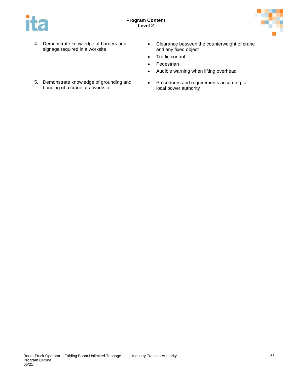

- 4. Demonstrate knowledge of barriers and signage required in a worksite
- Clearance between the counterweight of crane and any fixed object
- Traffic control
- Pedestrian
- Audible warning when lifting overhead
- Procedures and requirements according to local power authority
- 5. Demonstrate knowledge of grounding and bonding of a crane at a worksite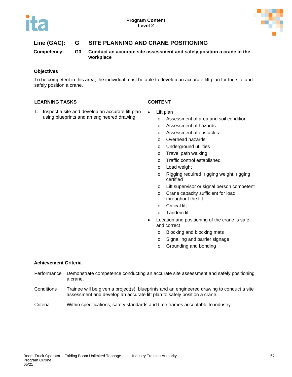

**Competency: G3 Conduct an accurate site assessment and safely position a crane in the workplace**

### **Objectives**

To be competent in this area, the individual must be able to develop an accurate lift plan for the site and safely position a crane.

# **LEARNING TASKS CONTENT**

- 1. Inspect a site and develop an accurate lift plan using blueprints and an engineered drawing
- Lift plan
	- o Assessment of area and soil condition
	- o Assessment of hazards
	- o Assessment of obstacles
	- o Overhead hazards
	- o Underground utilities
	- o Travel path walking
	- o Traffic control established
	- o Load weight
	- o Rigging required, rigging weight, rigging certified
	- o Lift supervisor or signal person competent
	- o Crane capacity sufficient for load throughout the lift
	- o Critical lift
	- o Tandem lift
- Location and positioning of the crane is safe and correct
	- o Blocking and blocking mats
	- o Signalling and barrier signage
	- o Grounding and bonding

# **Achievement Criteria**

- Performance Demonstrate competence conducting an accurate site assessment and safely positioning a crane.
- Conditions Trainee will be given a project(s), blueprints and an engineered drawing to conduct a site assessment and develop an accurate lift plan to safely position a crane.

Criteria Within specifications, safety standards and time frames acceptable to industry.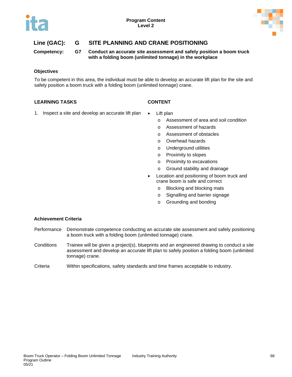

**Competency: G7 Conduct an accurate site assessment and safely position a boom truck with a folding boom (unlimited tonnage) in the workplace**

### **Objectives**

To be competent in this area, the individual must be able to develop an accurate lift plan for the site and safely position a boom truck with a folding boom (unlimited tonnage) crane.

# **LEARNING TASKS CONTENT**

- 1. Inspect a site and develop an accurate lift plan Lift plan
	- - o Assessment of area and soil condition
		- o Assessment of hazards
		- o Assessment of obstacles
		- o Overhead hazards
		- o Underground utilities
		- o Proximity to slopes
		- o Proximity to excavations
		- o Ground stability and drainage
	- Location and positioning of boom truck and crane boom is safe and correct
		- o Blocking and blocking mats
		- o Signalling and barrier signage
		- o Grounding and bonding

# **Achievement Criteria**

- Performance Demonstrate competence conducting an accurate site assessment and safely positioning a boom truck with a folding boom (unlimited tonnage) crane.
- Conditions Trainee will be given a project(s), blueprints and an engineered drawing to conduct a site assessment and develop an accurate lift plan to safely position a folding boom (unlimited tonnage) crane.
- Criteria Within specifications, safety standards and time frames acceptable to industry.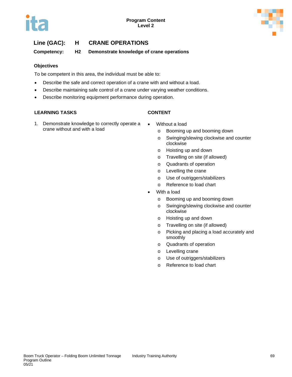**Competency: H2 Demonstrate knowledge of crane operations**

## **Objectives**

To be competent in this area, the individual must be able to:

- Describe the safe and correct operation of a crane with and without a load.
- Describe maintaining safe control of a crane under varying weather conditions.
- Describe monitoring equipment performance during operation.

## **LEARNING TASKS CONTENT**

- 1. Demonstrate knowledge to correctly operate a crane without and with a load
- Without a load
	- o Booming up and booming down
	- o Swinging/slewing clockwise and counter clockwise
	- o Hoisting up and down
	- o Travelling on site (if allowed)
	- o Quadrants of operation
	- o Levelling the crane
	- o Use of outriggers/stabilizers
	- o Reference to load chart
- With a load
	- o Booming up and booming down
	- o Swinging/slewing clockwise and counter clockwise
	- o Hoisting up and down
	- o Travelling on site (if allowed)
	- o Picking and placing a load accurately and smoothly
	- o Quadrants of operation
	- o Levelling crane
	- o Use of outriggers/stabilizers
	- o Reference to load chart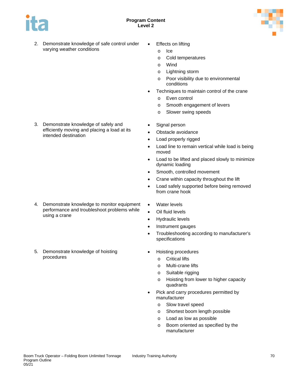



- 2. Demonstrate knowledge of safe control under varying weather conditions
- **Effects on lifting** 
	- o Ice
	- o Cold temperatures
	- o Wind
	- o Lightning storm
	- o Poor visibility due to environmental conditions
- Techniques to maintain control of the crane
	- o Even control
	- o Smooth engagement of levers
	- o Slower swing speeds
- Signal person
- Obstacle avoidance
- Load properly rigged
- Load line to remain vertical while load is being moved
- Load to be lifted and placed slowly to minimize dynamic loading
- Smooth, controlled movement
- Crane within capacity throughout the lift
- Load safely supported before being removed from crane hook
- Water levels
- Oil fluid levels
- Hydraulic levels
- Instrument gauges
- Troubleshooting according to manufacturer's specifications
- Hoisting procedures
	- o Critical lifts
	- o Multi-crane lifts
	- o Suitable rigging
	- o Hoisting from lower to higher capacity quadrants
- Pick and carry procedures permitted by manufacturer
	- o Slow travel speed
	- o Shortest boom length possible
	- o Load as low as possible
	- o Boom oriented as specified by the manufacturer

3. Demonstrate knowledge of safely and efficiently moving and placing a load at its intended destination

- 4. Demonstrate knowledge to monitor equipment performance and troubleshoot problems while using a crane
- 5. Demonstrate knowledge of hoisting procedures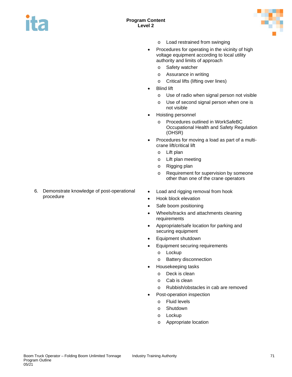



- o Load restrained from swinging
- Procedures for operating in the vicinity of high voltage equipment according to local utility authority and limits of approach
	- o Safety watcher
	- o Assurance in writing
	- o Critical lifts (lifting over lines)
- Blind lift
	- o Use of radio when signal person not visible
	- o Use of second signal person when one is not visible
- Hoisting personnel
	- o Procedures outlined in WorkSafeBC Occupational Health and Safety Regulation (OHSR)
- Procedures for moving a load as part of a multicrane lift/critical lift
	- o Lift plan
	- o Lift plan meeting
	- o Rigging plan
	- o Requirement for supervision by someone other than one of the crane operators
- Load and rigging removal from hook
- Hook block elevation
- Safe boom positioning
- Wheels/tracks and attachments cleaning requirements
- Appropriate/safe location for parking and securing equipment
- Equipment shutdown
- Equipment securing requirements
	- o Lockup
	- o Battery disconnection
- Housekeeping tasks
	- o Deck is clean
		- o Cab is clean
		- o Rubbish/obstacles in cab are removed
- Post-operation inspection
	- o Fluid levels
	- o Shutdown
	- o Lockup
	- o Appropriate location

6. Demonstrate knowledge of post-operational procedure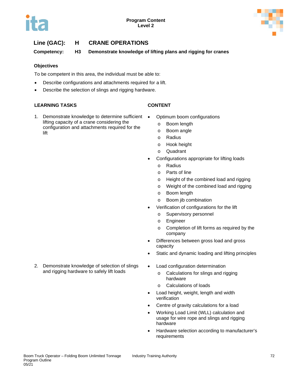

**Competency: H3 Demonstrate knowledge of lifting plans and rigging for cranes**

## **Objectives**

To be competent in this area, the individual must be able to:

- Describe configurations and attachments required for a lift.
- Describe the selection of slings and rigging hardware.

## **LEARNING TASKS CONTENT**

- 1. Demonstrate knowledge to determine sufficient . lifting capacity of a crane considering the configuration and attachments required for the lift
	- Optimum boom configurations
		- o Boom length
		- o Boom angle
		- o Radius
		- o Hook height
		- o Quadrant
	- Configurations appropriate for lifting loads
		- o Radius
		- o Parts of line
		- o Height of the combined load and rigging
		- o Weight of the combined load and rigging
		- o Boom length
		- o Boom jib combination
	- Verification of configurations for the lift
		- o Supervisory personnel
		- o Engineer
		- o Completion of lift forms as required by the company
	- Differences between gross load and gross capacity
	- Static and dynamic loading and lifting principles
	- Load configuration determination
		- o Calculations for slings and rigging hardware
		- o Calculations of loads
		- Load height, weight, length and width verification
	- Centre of gravity calculations for a load
	- Working Load Limit (WLL) calculation and usage for wire rope and slings and rigging hardware
	- Hardware selection according to manufacturer's requirements

2. Demonstrate knowledge of selection of slings and rigging hardware to safely lift loads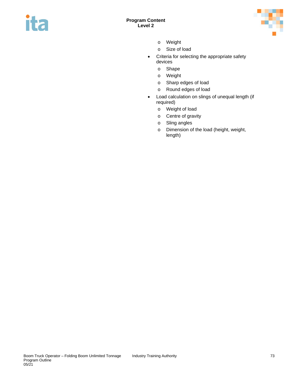



- o Weight
- o Size of load
- Criteria for selecting the appropriate safety devices
	- o Shape
	- o Weight
	- o Sharp edges of load
	- o Round edges of load
- Load calculation on slings of unequal length (if required)
	- o Weight of load
	- o Centre of gravity
	- o Sling angles
	- o Dimension of the load (height, weight, length)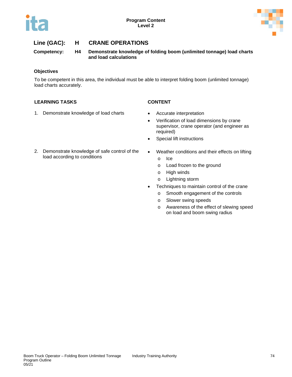

**Competency: H4 Demonstrate knowledge of folding boom (unlimited tonnage) load charts and load calculations**

## **Objectives**

To be competent in this area, the individual must be able to interpret folding boom (unlimited tonnage) load charts accurately.

## **LEARNING TASKS CONTENT**

- 1. Demonstrate knowledge of load charts Accurate interpretation
	-
	- Verification of load dimensions by crane supervisor, crane operator (and engineer as required)
	- Special lift instructions
- 2. Demonstrate knowledge of safe control of the load according to conditions
- Weather conditions and their effects on lifting
	- o Ice
	- o Load frozen to the ground
	- o High winds
	- o Lightning storm
- Techniques to maintain control of the crane
	- o Smooth engagement of the controls
	- o Slower swing speeds
	- o Awareness of the effect of slewing speed on load and boom swing radius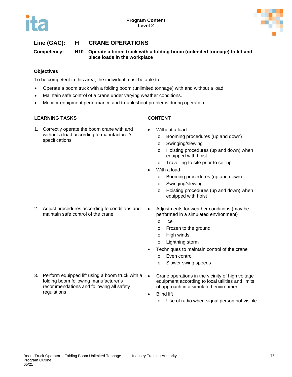



**Competency: H10 Operate a boom truck with a folding boom (unlimited tonnage) to lift and place loads in the workplace**

## **Objectives**

To be competent in this area, the individual must be able to:

- Operate a boom truck with a folding boom (unlimited tonnage) with and without a load.
- Maintain safe control of a crane under varying weather conditions.
- Monitor equipment performance and troubleshoot problems during operation.

## **LEARNING TASKS CONTENT**

1. Correctly operate the boom crane with and without a load according to manufacturer's specifications

- Without a load
	- o Booming procedures (up and down)
	- o Swinging/slewing
	- o Hoisting procedures (up and down) when equipped with hoist
	- o Travelling to site prior to set-up
- With a load
	- o Booming procedures (up and down)
	- o Swinging/slewing
	- o Hoisting procedures (up and down) when equipped with hoist
- 2. Adjust procedures according to conditions and maintain safe control of the crane
- Adjustments for weather conditions (may be performed in a simulated environment)
	- o Ice
	- o Frozen to the ground
	- o High winds
	- o Lightning storm
- Techniques to maintain control of the crane
	- o Even control
	- o Slower swing speeds
- 3. Perform equipped lift using a boom truck with a  $\bullet$ folding boom following manufacturer's recommendations and following all safety regulations
	- Crane operations in the vicinity of high voltage equipment according to local utilities and limits of approach in a simulated environment
	- **Blind lift** 
		- o Use of radio when signal person not visible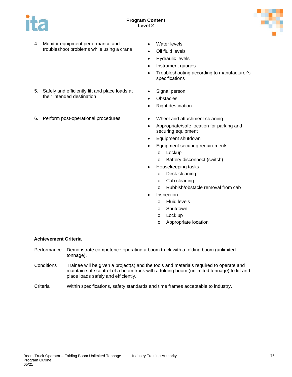



- 4. Monitor equipment performance and troubleshoot problems while using a crane
- 5. Safely and efficiently lift and place loads at their intended destination
- 6. Perform post-operational procedures Wheel and attachment cleaning
- Water levels
- Oil fluid levels
- Hydraulic levels
- Instrument gauges
- Troubleshooting according to manufacturer's specifications
- Signal person
- Obstacles
- Right destination
- 
- Appropriate/safe location for parking and securing equipment
- Equipment shutdown
- Equipment securing requirements
	- o Lockup
	- o Battery disconnect (switch)
- Housekeeping tasks
	- o Deck cleaning
	- o Cab cleaning
	- o Rubbish/obstacle removal from cab
- **Inspection** 
	- o Fluid levels
	- o Shutdown
	- o Lock up
	- o Appropriate location

### **Achievement Criteria**

- Performance Demonstrate competence operating a boom truck with a folding boom (unlimited tonnage).
- Conditions Trainee will be given a project(s) and the tools and materials required to operate and maintain safe control of a boom truck with a folding boom (unlimited tonnage) to lift and place loads safely and efficiently.
- Criteria Within specifications, safety standards and time frames acceptable to industry.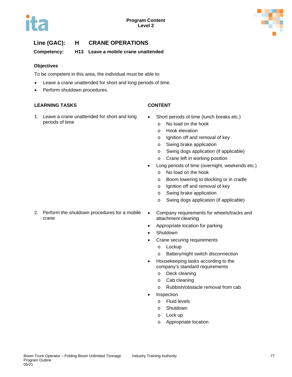

**Competency: H13 Leave a mobile crane unattended**

## **Objectives**

To be competent in this area, the individual must be able to:

- Leave a crane unattended for short and long periods of time.
- Perform shutdown procedures.

## **LEARNING TASKS CONTENT**

1. Leave a crane unattended for short and long periods of time

- Short periods of time (lunch breaks etc.)
	- o No load on the hook
	- o Hook elevation
	- o Ignition off and removal of key
	- o Swing brake application
	- o Swing dogs application (if applicable)
	- o Crane left in working position
- Long periods of time (overnight, weekends etc.)
	- o No load on the hook
	- o Boom lowering to blocking or in cradle
	- o Ignition off and removal of key
	- o Swing brake application
	- o Swing dogs application (if applicable)
- 2. Perform the shutdown procedures for a mobile crane
- Company requirements for wheels/tracks and attachment cleaning
- Appropriate location for parking
- Shutdown
- Crane securing requirements
	- o Lockup
	- o Battery/night switch disconnection
- Housekeeping tasks according to the company's standard requirements
	- o Deck cleaning
	- o Cab cleaning
	- o Rubbish/obstacle removal from cab
- **Inspection** 
	- o Fluid levels
	- o Shutdown
	- o Lock up
	- o Appropriate location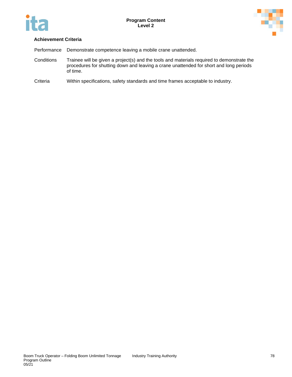



## **Achievement Criteria**

Performance Demonstrate competence leaving a mobile crane unattended.

- Conditions Trainee will be given a project(s) and the tools and materials required to demonstrate the procedures for shutting down and leaving a crane unattended for short and long periods of time.
- Criteria Within specifications, safety standards and time frames acceptable to industry.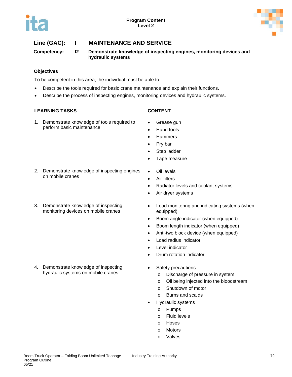



**Competency: I2 Demonstrate knowledge of inspecting engines, monitoring devices and hydraulic systems**

## **Objectives**

To be competent in this area, the individual must be able to:

- Describe the tools required for basic crane maintenance and explain their functions.
- Describe the process of inspecting engines, monitoring devices and hydraulic systems.

### **LEARNING TASKS CONTENT**

- 1. Demonstrate knowledge of tools required to perform basic maintenance
- 
- Grease gun
- Hand tools
- Hammers
- Pry bar
- Step ladder
- Tape measure
- 2. Demonstrate knowledge of inspecting engines on mobile cranes
- 3. Demonstrate knowledge of inspecting monitoring devices on mobile cranes

4. Demonstrate knowledge of inspecting hydraulic systems on mobile cranes

- Oil levels
- Air filters
- Radiator levels and coolant systems
- Air dryer systems
- Load monitoring and indicating systems (when equipped)
- Boom angle indicator (when equipped)
- Boom length indicator (when equipped)
- Anti-two block device (when equipped)
- Load radius indicator
- Level indicator
- Drum rotation indicator
- Safety precautions
	- o Discharge of pressure in system
	- o Oil being injected into the bloodstream
	- o Shutdown of motor
	- o Burns and scalds
- Hydraulic systems
	- o Pumps
	- o Fluid levels
	- o Hoses
	- o Motors
	- o Valves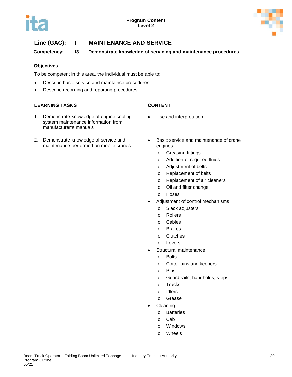

**Competency: I3 Demonstrate knowledge of servicing and maintenance procedures**

## **Objectives**

To be competent in this area, the individual must be able to:

- Describe basic service and maintaince procedures.
- Describe recording and reporting procedures.

## **LEARNING TASKS CONTENT**

- 1. Demonstrate knowledge of engine cooling system maintenance information from manufacturer's manuals
- 2. Demonstrate knowledge of service and maintenance performed on mobile cranes
- Basic service and maintenance of crane engines
	- o Greasing fittings

• Use and interpretation

- o Addition of required fluids
- o Adjustment of belts
- o Replacement of belts
- o Replacement of air cleaners
- o Oil and filter change
- o Hoses
- Adjustment of control mechanisms
	- o Slack adjusters
	- o Rollers
	- o Cables
	- o Brakes
	- o Clutches
	- o Levers
- Structural maintenance
	- o Bolts
	- o Cotter pins and keepers
	- o Pins
	- o Guard rails, handholds, steps
	- o Tracks
	- o Idlers
	- o Grease
- **Cleaning** 
	- o Batteries
	- o Cab
	- o Windows
	- o Wheels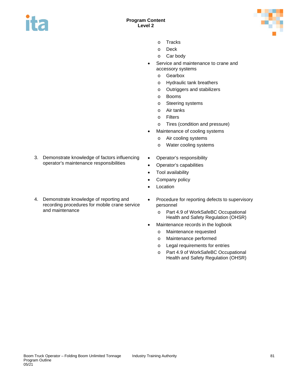



- o Tracks
- o Deck
- o Car body
- Service and maintenance to crane and accessory systems
	- o Gearbox
	- o Hydraulic tank breathers
	- o Outriggers and stabilizers
	- o Booms
	- o Steering systems
	- o Air tanks
	- o Filters
	- o Tires (condition and pressure)
- Maintenance of cooling systems
	- o Air cooling systems
	- o Water cooling systems
- 3. Demonstrate knowledge of factors influencing operator's maintenance responsibilities
- Operator's responsibility • Operator's capabilities
- Tool availability
- Company policy
- Location
- 4. Demonstrate knowledge of reporting and recording procedures for mobile crane service and maintenance
	- Procedure for reporting defects to supervisory personnel
		- o Part 4.9 of WorkSafeBC Occupational Health and Safety Regulation (OHSR)
	- Maintenance records in the logbook
		- o Maintenance requested
		- o Maintenance performed
		- o Legal requirements for entries
		- o Part 4.9 of WorkSafeBC Occupational Health and Safety Regulation (OHSR)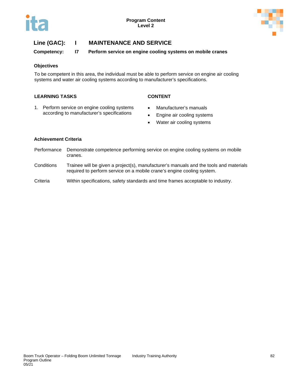

**Competency: I7 Perform service on engine cooling systems on mobile cranes**

## **Objectives**

To be competent in this area, the individual must be able to perform service on engine air cooling systems and water air cooling systems according to manufacturer's specifications.

## **LEARNING TASKS CONTENT**

- 1. Perform service on engine cooling systems according to manufacturer's specifications
- Manufacturer's manuals
- Engine air cooling systems
- Water air cooling systems

## **Achievement Criteria**

- Performance Demonstrate competence performing service on engine cooling systems on mobile cranes.
- Conditions Trainee will be given a project(s), manufacturer's manuals and the tools and materials required to perform service on a mobile crane's engine cooling system.
- Criteria Within specifications, safety standards and time frames acceptable to industry.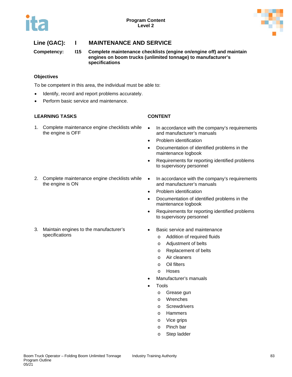

**Competency: I15 Complete maintenance checklists (engine on/engine off) and maintain engines on boom trucks (unlimited tonnage) to manufacturer's specifications**

## **Objectives**

To be competent in this area, the individual must be able to:

- Identify, record and report problems accurately.
- Perform basic service and maintenance.

## **LEARNING TASKS CONTENT**

1. Complete maintenance engine checklists while the engine is OFF

2. Complete maintenance engine checklists while the engine is ON

3. Maintain engines to the manufacturer's specifications

- In accordance with the company's requirements and manufacturer's manuals
- Problem identification
- Documentation of identified problems in the maintenance logbook
- Requirements for reporting identified problems to supervisory personnel
- In accordance with the company's requirements and manufacturer's manuals
- Problem identification
- Documentation of identified problems in the maintenance logbook
- Requirements for reporting identified problems to supervisory personnel
- Basic service and maintenance
	- o Addition of required fluids
	- o Adjustment of belts
	- o Replacement of belts
	- o Air cleaners
	- o Oil filters
	- o Hoses
- Manufacturer's manuals
- **Tools** 
	- o Grease gun
	- o Wrenches
	- o Screwdrivers
	- o Hammers
	- o Vice grips
	- o Pinch bar
	- o Step ladder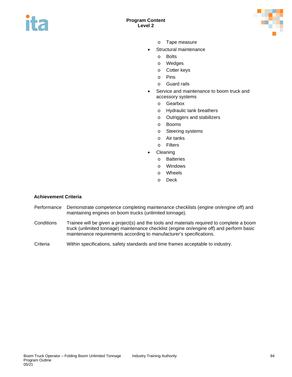



- o Tape measure
- Structural maintenance
	- o Bolts
	- o Wedges
	- o Cotter keys
	- o Pins
	- o Guard rails
- Service and maintenance to boom truck and accessory systems
	- o Gearbox
	- o Hydraulic tank breathers
	- o Outriggers and stabilizers
	- o Booms
	- o Steering systems
	- o Air tanks
	- o Filters
- **Cleaning** 
	- o Batteries
	- o Windows
	- o Wheels
	- o Deck

## **Achievement Criteria**

- Performance Demonstrate competence completing maintenance checklists (engine on/engine off) and maintaining engines on boom trucks (unlimited tonnage).
- Conditions Trainee will be given a project(s) and the tools and materials required to complete a boom truck (unlimited tonnage) maintenance checklist (engine on/engine off) and perform basic maintenance requirements according to manufacturer's specifications.
- Criteria Within specifications, safety standards and time frames acceptable to industry.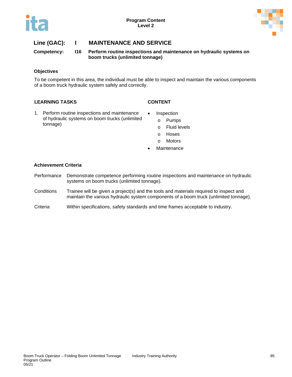

**Competency: I16 Perform routine inspections and maintenance on hydraulic systems on boom trucks (unlimited tonnage)**

## **Objectives**

To be competent in this area, the individual must be able to inspect and maintain the various components of a boom truck hydraulic system safely and correctly.

## **LEARNING TASKS CONTENT**

- 1. Perform routine inspections and maintenance of hydraulic systems on boom trucks (unlimited tonnage)
- Inspection o Pumps
	- o Fluid levels
	- o Hoses
	- o Motors
- **Maintenance**

## **Achievement Criteria**

- Performance Demonstrate competence performing routine inspections and maintenance on hydraulic systems on boom trucks (unlimited tonnage).
- Conditions Trainee will be given a project(s) and the tools and materials required to inspect and maintain the various hydraulic system components of a boom truck (unlimited tonnage).
- Criteria Within specifications, safety standards and time frames acceptable to industry.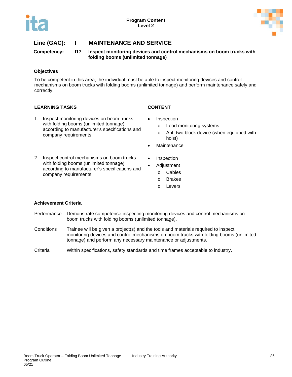

**Competency: I17 Inspect monitoring devices and control mechanisms on boom trucks with folding booms (unlimited tonnage)**

## **Objectives**

To be competent in this area, the individual must be able to inspect monitoring devices and control mechanisms on boom trucks with folding booms (unlimited tonnage) and perform maintenance safely and correctly.

## **LEARNING TASKS CONTENT**

1. Inspect monitoring devices on boom trucks with folding booms (unlimited tonnage) according to manufacturer's specifications and company requirements

2. Inspect control mechanisms on boom trucks

- **Inspection** 
	- o Load monitoring systems
	- o Anti-two block device (when equipped with hoist)
- **Maintenance**
- **Inspection**
- with folding booms (unlimited tonnage) according to manufacturer's specifications and • Adjustment
	- o Cables
	- o Brakes
	- o Levers

## **Achievement Criteria**

company requirements

- Performance Demonstrate competence inspecting monitoring devices and control mechanisms on boom trucks with folding booms (unlimited tonnage).
- Conditions Trainee will be given a project(s) and the tools and materials required to inspect monitoring devices and control mechanisms on boom trucks with folding booms (unlimited tonnage) and perform any necessary maintenance or adjustments.
- Criteria Within specifications, safety standards and time frames acceptable to industry.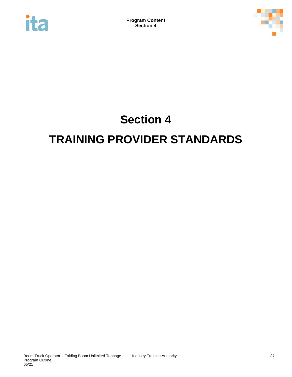



# **Section 4 TRAINING PROVIDER STANDARDS**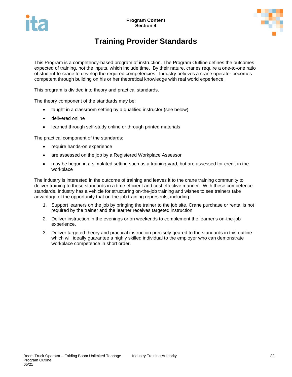



## **Training Provider Standards**

This Program is a competency-based program of instruction. The Program Outline defines the outcomes expected of training, not the inputs, which include time. By their nature, cranes require a one-to-one ratio of student-to-crane to develop the required competencies. Industry believes a crane operator becomes competent through building on his or her theoretical knowledge with real world experience.

This program is divided into theory and practical standards.

The theory component of the standards may be:

- taught in a classroom setting by a qualified instructor (see below)
- delivered online
- learned through self-study online or through printed materials

The practical component of the standards:

- require hands-on experience
- are assessed on the job by a Registered Workplace Assessor
- may be begun in a simulated setting such as a training yard, but are assessed for credit in the workplace

The industry is interested in the outcome of training and leaves it to the crane training community to deliver training to these standards in a time efficient and cost effective manner. With these competence standards, industry has a vehicle for structuring on-the-job training and wishes to see trainers take advantage of the opportunity that on-the-job training represents, including:

- 1. Support learners on the job by bringing the trainer to the job site. Crane purchase or rental is not required by the trainer and the learner receives targeted instruction.
- 2. Deliver instruction in the evenings or on weekends to complement the learner's on-the-job experience.
- 3. Deliver targeted theory and practical instruction precisely geared to the standards in this outline which will ideally guarantee a highly skilled individual to the employer who can demonstrate workplace competence in short order.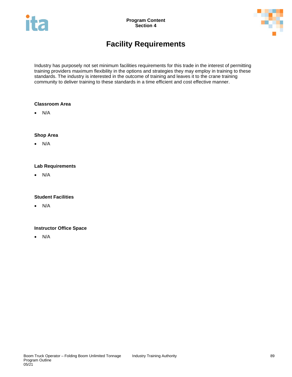



## **Facility Requirements**

Industry has purposely not set minimum facilities requirements for this trade in the interest of permitting training providers maximum flexibility in the options and strategies they may employ in training to these standards. The industry is interested in the outcome of training and leaves it to the crane training community to deliver training to these standards in a time efficient and cost effective manner.

## **Classroom Area**

• N/A

## **Shop Area**

• N/A

## **Lab Requirements**

• N/A

## **Student Facilities**

• N/A

## **Instructor Office Space**

• N/A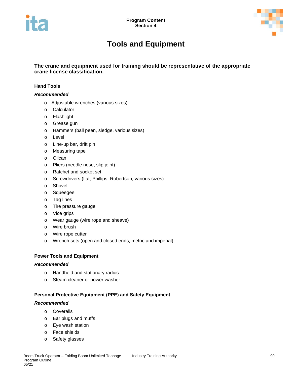



## **Tools and Equipment**

**The crane and equipment used for training should be representative of the appropriate crane license classification.**

## **Hand Tools**

## *Recommended*

- o Adjustable wrenches (various sizes)
- o Calculator
- o Flashlight
- o Grease gun
- o Hammers (ball peen, sledge, various sizes)
- o Level
- o Line-up bar, drift pin
- o Measuring tape
- o Oilcan
- o Pliers (needle nose, slip joint)
- o Ratchet and socket set
- o Screwdrivers (flat, Phillips, Robertson, various sizes)
- o Shovel
- o Squeegee
- o Tag lines
- o Tire pressure gauge
- o Vice grips
- o Wear gauge (wire rope and sheave)
- o Wire brush
- o Wire rope cutter
- o Wrench sets (open and closed ends, metric and imperial)

### **Power Tools and Equipment**

## *Recommended*

- o Handheld and stationary radios
- o Steam cleaner or power washer

## **Personal Protective Equipment (PPE) and Safety Equipment**

### *Recommended*

- o Coveralls
- o Ear plugs and muffs
- o Eye wash station
- o Face shields
- o Safety glasses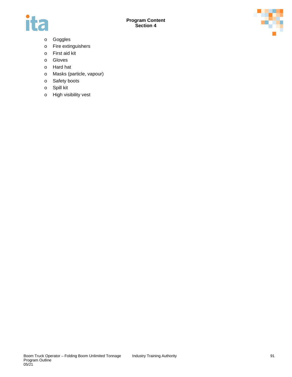



- o Goggles
- o Fire extinguishers
- o First aid kit
- o Gloves
- o Hard hat
- o Masks (particle, vapour)
- o Safety boots
- o Spill kit
- o High visibility vest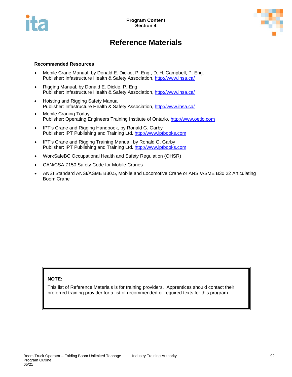



## **Reference Materials**

## **Recommended Resources**

- Mobile Crane Manual, by Donald E. Dickie, P. Eng., D. H. Campbell, P. Eng. Publisher: Infastructure Health & Safety Association,<http://www.ihsa.ca/>
- Rigging Manual, by Donald E. Dickie, P. Eng. Publisher: Infastructure Health & Safety Association,<http://www.ihsa.ca/>
- Hoisting and Rigging Safety Manual Publisher: Infastructure Health & Safety Association,<http://www.ihsa.ca/>
- Mobile Craning Today Publisher: Operating Engineers Training Institute of Ontario, [http://www.oetio.com](http://www.oetio.com/)
- IPT's Crane and Rigging Handbook, by Ronald G. Garby Publisher: IPT Publishing and Training Ltd. [http://www.iptbooks.com](http://www.iptbooks.com/)
- IPT's Crane and Rigging Training Manual, by Ronald G. Garby Publisher: IPT Publishing and Training Ltd. [http://www.iptbooks.com](http://www.iptbooks.com/)
- WorkSafeBC Occupational Health and Safety Regulation (OHSR)
- CAN/CSA Z150 Safety Code for Mobile Cranes
- ANSI Standard ANSI/ASME B30.5, Mobile and Locomotive Crane or ANSI/ASME B30.22 Articulating Boom Crane

## **NOTE:**

This list of Reference Materials is for training providers. Apprentices should contact their preferred training provider for a list of recommended or required texts for this program.